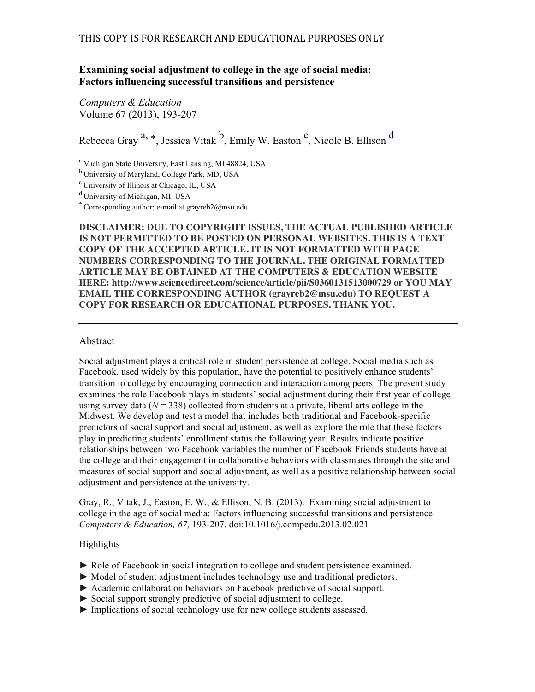# **Examining social adjustment to college in the age of social media: Factors influencing successful transitions and persistence**

*Computers & Education* Volume 67 (2013), 193-207

Rebecca Gray <sup>a,</sup> \*, Jessica Vitak <sup>b</sup>, Emily W. Easton <sup>c</sup>, Nicole B. Ellison <sup>d</sup>

a Michigan State University, East Lansing, MI 48824, USA

b University of Maryland, College Park, MD, USA

c University of Illinois at Chicago, IL, USA

d University of Michigan, MI, USA

\* Corresponding author; e-mail at grayreb $2\omega$ msu.edu

**DISCLAIMER: DUE TO COPYRIGHT ISSUES, THE ACTUAL PUBLISHED ARTICLE IS NOT PERMITTED TO BE POSTED ON PERSONAL WEBSITES. THIS IS A TEXT COPY OF THE ACCEPTED ARTICLE. IT IS NOT FORMATTED WITH PAGE NUMBERS CORRESPONDING TO THE JOURNAL. THE ORIGINAL FORMATTED ARTICLE MAY BE OBTAINED AT THE COMPUTERS & EDUCATION WEBSITE HERE: http://www.sciencedirect.com/science/article/pii/S0360131513000729 or YOU MAY EMAIL THE CORRESPONDING AUTHOR (grayreb2@msu.edu) TO REQUEST A COPY FOR RESEARCH OR EDUCATIONAL PURPOSES. THANK YOU.**

#### Abstract

Social adjustment plays a critical role in student persistence at college. Social media such as Facebook, used widely by this population, have the potential to positively enhance students' transition to college by encouraging connection and interaction among peers. The present study examines the role Facebook plays in students' social adjustment during their first year of college using survey data  $(N = 338)$  collected from students at a private, liberal arts college in the Midwest. We develop and test a model that includes both traditional and Facebook-specific predictors of social support and social adjustment, as well as explore the role that these factors play in predicting students' enrollment status the following year. Results indicate positive relationships between two Facebook variables the number of Facebook Friends students have at the college and their engagement in collaborative behaviors with classmates through the site and measures of social support and social adjustment, as well as a positive relationship between social adjustment and persistence at the university.

Gray, R., Vitak, J., Easton, E. W., & Ellison, N. B. (2013). Examining social adjustment to college in the age of social media: Factors influencing successful transitions and persistence. *Computers & Education, 67,* 193-207. doi:10.1016/j.compedu.2013.02.021

### Highlights

- ► Role of Facebook in social integration to college and student persistence examined.
- ► Model of student adjustment includes technology use and traditional predictors.
- ► Academic collaboration behaviors on Facebook predictive of social support.
- ► Social support strongly predictive of social adjustment to college.
- ► Implications of social technology use for new college students assessed.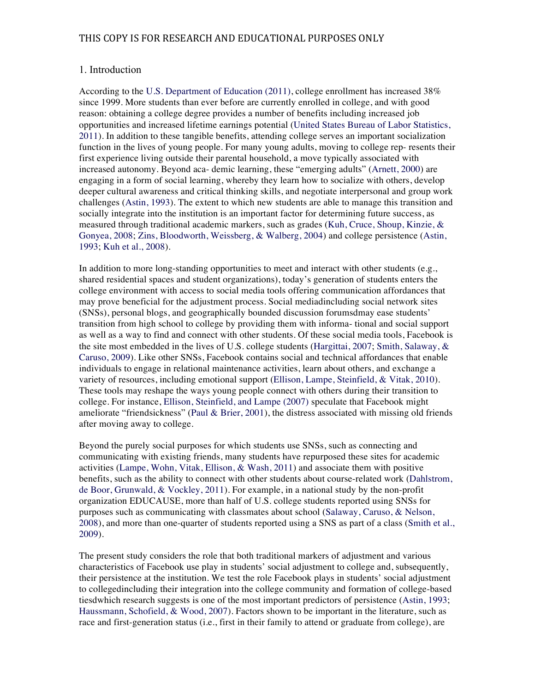### 1. Introduction

According to the U.S. Department of Education (2011), college enrollment has increased 38% since 1999. More students than ever before are currently enrolled in college, and with good reason: obtaining a college degree provides a number of benefits including increased job opportunities and increased lifetime earnings potential (United States Bureau of Labor Statistics, 2011). In addition to these tangible benefits, attending college serves an important socialization function in the lives of young people. For many young adults, moving to college rep- resents their first experience living outside their parental household, a move typically associated with increased autonomy. Beyond aca- demic learning, these "emerging adults" (Arnett, 2000) are engaging in a form of social learning, whereby they learn how to socialize with others, develop deeper cultural awareness and critical thinking skills, and negotiate interpersonal and group work challenges (Astin, 1993). The extent to which new students are able to manage this transition and socially integrate into the institution is an important factor for determining future success, as measured through traditional academic markers, such as grades (Kuh, Cruce, Shoup, Kinzie, & Gonyea, 2008; Zins, Bloodworth, Weissberg, & Walberg, 2004) and college persistence (Astin, 1993; Kuh et al., 2008).

In addition to more long-standing opportunities to meet and interact with other students (e.g., shared residential spaces and student organizations), today's generation of students enters the college environment with access to social media tools offering communication affordances that may prove beneficial for the adjustment process. Social mediadincluding social network sites (SNSs), personal blogs, and geographically bounded discussion forumsdmay ease students' transition from high school to college by providing them with informa- tional and social support as well as a way to find and connect with other students. Of these social media tools, Facebook is the site most embedded in the lives of U.S. college students (Hargittai, 2007; Smith, Salaway, & Caruso, 2009). Like other SNSs, Facebook contains social and technical affordances that enable individuals to engage in relational maintenance activities, learn about others, and exchange a variety of resources, including emotional support (Ellison, Lampe, Steinfield, & Vitak, 2010). These tools may reshape the ways young people connect with others during their transition to college. For instance, Ellison, Steinfield, and Lampe (2007) speculate that Facebook might ameliorate "friendsickness" (Paul & Brier, 2001), the distress associated with missing old friends after moving away to college.

Beyond the purely social purposes for which students use SNSs, such as connecting and communicating with existing friends, many students have repurposed these sites for academic activities (Lampe, Wohn, Vitak, Ellison, & Wash, 2011) and associate them with positive benefits, such as the ability to connect with other students about course-related work (Dahlstrom, de Boor, Grunwald, & Vockley, 2011). For example, in a national study by the non-profit organization EDUCAUSE, more than half of U.S. college students reported using SNSs for purposes such as communicating with classmates about school (Salaway, Caruso, & Nelson, 2008), and more than one-quarter of students reported using a SNS as part of a class (Smith et al., 2009).

The present study considers the role that both traditional markers of adjustment and various characteristics of Facebook use play in students' social adjustment to college and, subsequently, their persistence at the institution. We test the role Facebook plays in students' social adjustment to collegedincluding their integration into the college community and formation of college-based tiesdwhich research suggests is one of the most important predictors of persistence (Astin, 1993; Haussmann, Schofield, & Wood, 2007). Factors shown to be important in the literature, such as race and first-generation status (i.e., first in their family to attend or graduate from college), are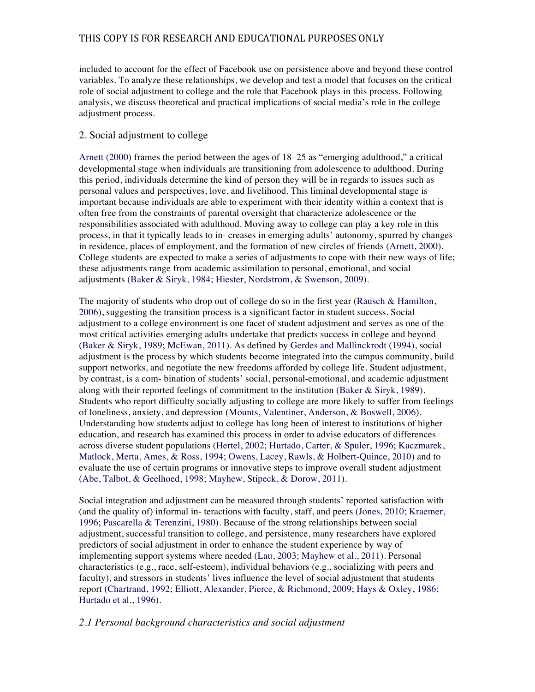included to account for the effect of Facebook use on persistence above and beyond these control variables. To analyze these relationships, we develop and test a model that focuses on the critical role of social adjustment to college and the role that Facebook plays in this process. Following analysis, we discuss theoretical and practical implications of social media's role in the college adjustment process.

# 2. Social adjustment to college

Arnett (2000) frames the period between the ages of 18–25 as "emerging adulthood," a critical developmental stage when individuals are transitioning from adolescence to adulthood. During this period, individuals determine the kind of person they will be in regards to issues such as personal values and perspectives, love, and livelihood. This liminal developmental stage is important because individuals are able to experiment with their identity within a context that is often free from the constraints of parental oversight that characterize adolescence or the responsibilities associated with adulthood. Moving away to college can play a key role in this process, in that it typically leads to in- creases in emerging adults' autonomy, spurred by changes in residence, places of employment, and the formation of new circles of friends (Arnett, 2000). College students are expected to make a series of adjustments to cope with their new ways of life; these adjustments range from academic assimilation to personal, emotional, and social adjustments (Baker & Siryk, 1984; Hiester, Nordstrom, & Swenson, 2009).

The majority of students who drop out of college do so in the first year (Rausch  $\&$  Hamilton, 2006), suggesting the transition process is a significant factor in student success. Social adjustment to a college environment is one facet of student adjustment and serves as one of the most critical activities emerging adults undertake that predicts success in college and beyond (Baker & Siryk, 1989; McEwan, 2011). As defined by Gerdes and Mallinckrodt (1994), social adjustment is the process by which students become integrated into the campus community, build support networks, and negotiate the new freedoms afforded by college life. Student adjustment, by contrast, is a com- bination of students' social, personal-emotional, and academic adjustment along with their reported feelings of commitment to the institution (Baker & Siryk, 1989). Students who report difficulty socially adjusting to college are more likely to suffer from feelings of loneliness, anxiety, and depression (Mounts, Valentiner, Anderson, & Boswell, 2006). Understanding how students adjust to college has long been of interest to institutions of higher education, and research has examined this process in order to advise educators of differences across diverse student populations (Hertel, 2002; Hurtado, Carter, & Spuler, 1996; Kaczmarek, Matlock, Merta, Ames, & Ross, 1994; Owens, Lacey, Rawls, & Holbert-Quince, 2010) and to evaluate the use of certain programs or innovative steps to improve overall student adjustment (Abe, Talbot, & Geelhoed, 1998; Mayhew, Stipeck, & Dorow, 2011).

Social integration and adjustment can be measured through students' reported satisfaction with (and the quality of) informal in- teractions with faculty, staff, and peers (Jones, 2010; Kraemer, 1996; Pascarella & Terenzini, 1980). Because of the strong relationships between social adjustment, successful transition to college, and persistence, many researchers have explored predictors of social adjustment in order to enhance the student experience by way of implementing support systems where needed (Lau, 2003; Mayhew et al., 2011). Personal characteristics (e.g., race, self-esteem), individual behaviors (e.g., socializing with peers and faculty), and stressors in students' lives influence the level of social adjustment that students report (Chartrand, 1992; Elliott, Alexander, Pierce, & Richmond, 2009; Hays & Oxley, 1986; Hurtado et al., 1996).

# *2.1 Personal background characteristics and social adjustment*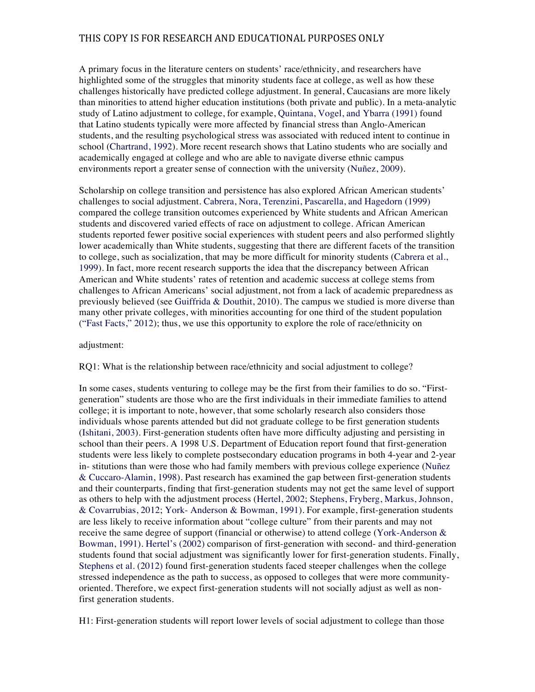A primary focus in the literature centers on students' race/ethnicity, and researchers have highlighted some of the struggles that minority students face at college, as well as how these challenges historically have predicted college adjustment. In general, Caucasians are more likely than minorities to attend higher education institutions (both private and public). In a meta-analytic study of Latino adjustment to college, for example, Quintana, Vogel, and Ybarra (1991) found that Latino students typically were more affected by financial stress than Anglo-American students, and the resulting psychological stress was associated with reduced intent to continue in school (Chartrand, 1992). More recent research shows that Latino students who are socially and academically engaged at college and who are able to navigate diverse ethnic campus environments report a greater sense of connection with the university (Nuñez, 2009).

Scholarship on college transition and persistence has also explored African American students' challenges to social adjustment. Cabrera, Nora, Terenzini, Pascarella, and Hagedorn (1999) compared the college transition outcomes experienced by White students and African American students and discovered varied effects of race on adjustment to college. African American students reported fewer positive social experiences with student peers and also performed slightly lower academically than White students, suggesting that there are different facets of the transition to college, such as socialization, that may be more difficult for minority students (Cabrera et al., 1999). In fact, more recent research supports the idea that the discrepancy between African American and White students' rates of retention and academic success at college stems from challenges to African Americans' social adjustment, not from a lack of academic preparedness as previously believed (see Guiffrida & Douthit, 2010). The campus we studied is more diverse than many other private colleges, with minorities accounting for one third of the student population ("Fast Facts," 2012); thus, we use this opportunity to explore the role of race/ethnicity on

#### adjustment:

RQ1: What is the relationship between race/ethnicity and social adjustment to college?

In some cases, students venturing to college may be the first from their families to do so. "Firstgeneration" students are those who are the first individuals in their immediate families to attend college; it is important to note, however, that some scholarly research also considers those individuals whose parents attended but did not graduate college to be first generation students (Ishitani, 2003). First-generation students often have more difficulty adjusting and persisting in school than their peers. A 1998 U.S. Department of Education report found that first-generation students were less likely to complete postsecondary education programs in both 4-year and 2-year in- stitutions than were those who had family members with previous college experience (Nuñez & Cuccaro-Alamin, 1998). Past research has examined the gap between first-generation students and their counterparts, finding that first-generation students may not get the same level of support as others to help with the adjustment process (Hertel, 2002; Stephens, Fryberg, Markus, Johnson, & Covarrubias, 2012; York- Anderson & Bowman, 1991). For example, first-generation students are less likely to receive information about "college culture" from their parents and may not receive the same degree of support (financial or otherwise) to attend college (York-Anderson & Bowman, 1991). Hertel's (2002) comparison of first-generation with second- and third-generation students found that social adjustment was significantly lower for first-generation students. Finally, Stephens et al. (2012) found first-generation students faced steeper challenges when the college stressed independence as the path to success, as opposed to colleges that were more communityoriented. Therefore, we expect first-generation students will not socially adjust as well as nonfirst generation students.

H1: First-generation students will report lower levels of social adjustment to college than those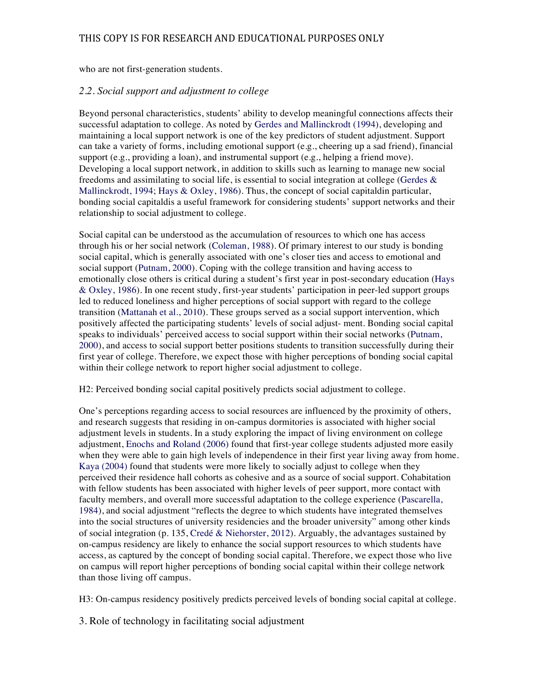who are not first-generation students.

## *2.2. Social support and adjustment to college*

Beyond personal characteristics, students' ability to develop meaningful connections affects their successful adaptation to college. As noted by Gerdes and Mallinckrodt (1994), developing and maintaining a local support network is one of the key predictors of student adjustment. Support can take a variety of forms, including emotional support  $(e.g., cheering up a sad friend)$ , financial support  $(e.g., providing a loan)$ , and instrumental support  $(e.g., helping a friend move)$ . Developing a local support network, in addition to skills such as learning to manage new social freedoms and assimilating to social life, is essential to social integration at college (Gerdes & Mallinckrodt, 1994; Hays & Oxley, 1986). Thus, the concept of social capitaldin particular, bonding social capitaldis a useful framework for considering students' support networks and their relationship to social adjustment to college.

Social capital can be understood as the accumulation of resources to which one has access through his or her social network (Coleman, 1988). Of primary interest to our study is bonding social capital, which is generally associated with one's closer ties and access to emotional and social support (Putnam, 2000). Coping with the college transition and having access to emotionally close others is critical during a student's first year in post-secondary education (Hays & Oxley, 1986). In one recent study, first-year students' participation in peer-led support groups led to reduced loneliness and higher perceptions of social support with regard to the college transition (Mattanah et al., 2010). These groups served as a social support intervention, which positively affected the participating students' levels of social adjust- ment. Bonding social capital speaks to individuals' perceived access to social support within their social networks (Putnam, 2000), and access to social support better positions students to transition successfully during their first year of college. Therefore, we expect those with higher perceptions of bonding social capital within their college network to report higher social adjustment to college.

#### H2: Perceived bonding social capital positively predicts social adjustment to college.

One's perceptions regarding access to social resources are influenced by the proximity of others, and research suggests that residing in on-campus dormitories is associated with higher social adjustment levels in students. In a study exploring the impact of living environment on college adjustment, Enochs and Roland (2006) found that first-year college students adjusted more easily when they were able to gain high levels of independence in their first year living away from home. Kaya (2004) found that students were more likely to socially adjust to college when they perceived their residence hall cohorts as cohesive and as a source of social support. Cohabitation with fellow students has been associated with higher levels of peer support, more contact with faculty members, and overall more successful adaptation to the college experience (Pascarella, 1984), and social adjustment "reflects the degree to which students have integrated themselves into the social structures of university residencies and the broader university" among other kinds of social integration (p. 135, Credé & Niehorster, 2012). Arguably, the advantages sustained by on-campus residency are likely to enhance the social support resources to which students have access, as captured by the concept of bonding social capital. Therefore, we expect those who live on campus will report higher perceptions of bonding social capital within their college network than those living off campus.

H3: On-campus residency positively predicts perceived levels of bonding social capital at college.

3. Role of technology in facilitating social adjustment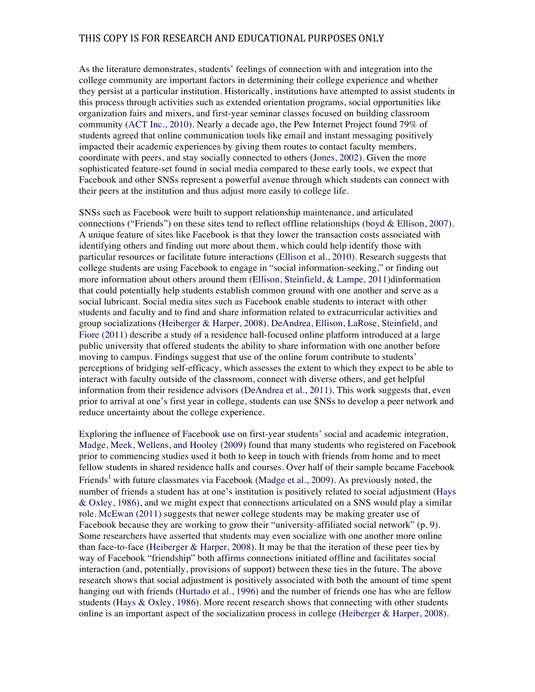As the literature demonstrates, students' feelings of connection with and integration into the college community are important factors in determining their college experience and whether they persist at a particular institution. Historically, institutions have attempted to assist students in this process through activities such as extended orientation programs, social opportunities like organization fairs and mixers, and first-year seminar classes focused on building classroom community (ACT Inc., 2010). Nearly a decade ago, the Pew Internet Project found 79% of students agreed that online communication tools like email and instant messaging positively impacted their academic experiences by giving them routes to contact faculty members, coordinate with peers, and stay socially connected to others (Jones, 2002). Given the more sophisticated feature-set found in social media compared to these early tools, we expect that Facebook and other SNSs represent a powerful avenue through which students can connect with their peers at the institution and thus adjust more easily to college life.

SNSs such as Facebook were built to support relationship maintenance, and articulated connections ("Friends") on these sites tend to reflect offline relationships (boyd & Ellison, 2007). A unique feature of sites like Facebook is that they lower the transaction costs associated with identifying others and finding out more about them, which could help identify those with particular resources or facilitate future interactions (Ellison et al., 2010). Research suggests that college students are using Facebook to engage in "social information-seeking," or finding out more information about others around them (Ellison, Steinfield, & Lampe, 2011)dinformation that could potentially help students establish common ground with one another and serve as a social lubricant. Social media sites such as Facebook enable students to interact with other students and faculty and to find and share information related to extracurricular activities and group socializations (Heiberger & Harper, 2008). DeAndrea, Ellison, LaRose, Steinfield, and Fiore (2011) describe a study of a residence hall-focused online platform introduced at a large public university that offered students the ability to share information with one another before moving to campus. Findings suggest that use of the online forum contribute to students' perceptions of bridging self-efficacy, which assesses the extent to which they expect to be able to interact with faculty outside of the classroom, connect with diverse others, and get helpful information from their residence advisors (DeAndrea et al., 2011). This work suggests that, even prior to arrival at one's first year in college, students can use SNSs to develop a peer network and reduce uncertainty about the college experience.

Exploring the influence of Facebook use on first-year students' social and academic integration, Madge, Meek, Wellens, and Hooley (2009) found that many students who registered on Facebook prior to commencing studies used it both to keep in touch with friends from home and to meet fellow students in shared residence halls and courses. Over half of their sample became Facebook Friends<sup>1</sup> with future classmates via Facebook (Madge et al., 2009). As previously noted, the number of friends a student has at one's institution is positively related to social adjustment (Hays & Oxley, 1986), and we might expect that connections articulated on a SNS would play a similar role. McEwan (2011) suggests that newer college students may be making greater use of Facebook because they are working to grow their "university-affiliated social network" (p. 9). Some researchers have asserted that students may even socialize with one another more online than face-to-face (Heiberger  $&$  Harper, 2008). It may be that the iteration of these peer ties by way of Facebook "friendship" both affirms connections initiated offline and facilitates social interaction (and, potentially, provisions of support) between these ties in the future. The above research shows that social adjustment is positively associated with both the amount of time spent hanging out with friends (Hurtado et al., 1996) and the number of friends one has who are fellow students (Hays & Oxley, 1986). More recent research shows that connecting with other students online is an important aspect of the socialization process in college (Heiberger & Harper, 2008).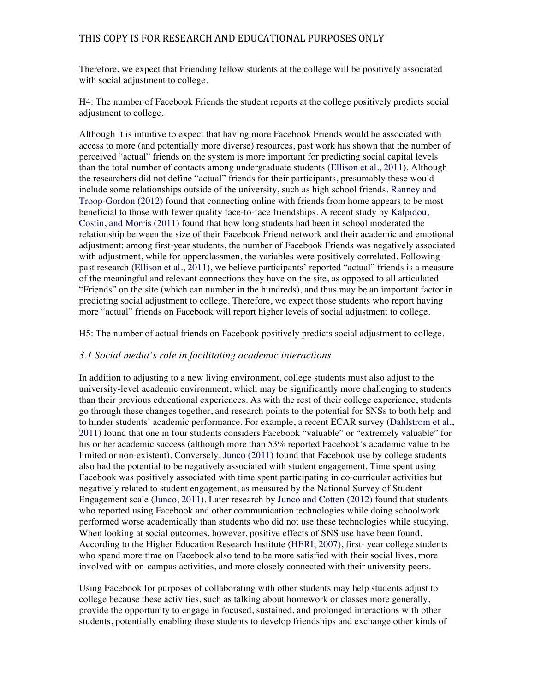Therefore, we expect that Friending fellow students at the college will be positively associated with social adjustment to college.

H4: The number of Facebook Friends the student reports at the college positively predicts social adjustment to college.

Although it is intuitive to expect that having more Facebook Friends would be associated with access to more (and potentially more diverse) resources, past work has shown that the number of perceived "actual" friends on the system is more important for predicting social capital levels than the total number of contacts among undergraduate students (Ellison et al., 2011). Although the researchers did not define "actual" friends for their participants, presumably these would include some relationships outside of the university, such as high school friends. Ranney and Troop-Gordon (2012) found that connecting online with friends from home appears to be most beneficial to those with fewer quality face-to-face friendships. A recent study by Kalpidou, Costin, and Morris (2011) found that how long students had been in school moderated the relationship between the size of their Facebook Friend network and their academic and emotional adjustment: among first-year students, the number of Facebook Friends was negatively associated with adjustment, while for upperclassmen, the variables were positively correlated. Following past research (Ellison et al., 2011), we believe participants' reported "actual" friends is a measure of the meaningful and relevant connections they have on the site, as opposed to all articulated "Friends" on the site (which can number in the hundreds), and thus may be an important factor in predicting social adjustment to college. Therefore, we expect those students who report having more "actual" friends on Facebook will report higher levels of social adjustment to college.

H5: The number of actual friends on Facebook positively predicts social adjustment to college.

### *3.1 Social media's role in facilitating academic interactions*

In addition to adjusting to a new living environment, college students must also adjust to the university-level academic environment, which may be significantly more challenging to students than their previous educational experiences. As with the rest of their college experience, students go through these changes together, and research points to the potential for SNSs to both help and to hinder students' academic performance. For example, a recent ECAR survey (Dahlstrom et al., 2011) found that one in four students considers Facebook "valuable" or "extremely valuable" for his or her academic success (although more than 53% reported Facebook's academic value to be limited or non-existent). Conversely, Junco (2011) found that Facebook use by college students also had the potential to be negatively associated with student engagement. Time spent using Facebook was positively associated with time spent participating in co-curricular activities but negatively related to student engagement, as measured by the National Survey of Student Engagement scale (Junco, 2011). Later research by Junco and Cotten (2012) found that students who reported using Facebook and other communication technologies while doing schoolwork performed worse academically than students who did not use these technologies while studying. When looking at social outcomes, however, positive effects of SNS use have been found. According to the Higher Education Research Institute (HERI; 2007), first- year college students who spend more time on Facebook also tend to be more satisfied with their social lives, more involved with on-campus activities, and more closely connected with their university peers.

Using Facebook for purposes of collaborating with other students may help students adjust to college because these activities, such as talking about homework or classes more generally, provide the opportunity to engage in focused, sustained, and prolonged interactions with other students, potentially enabling these students to develop friendships and exchange other kinds of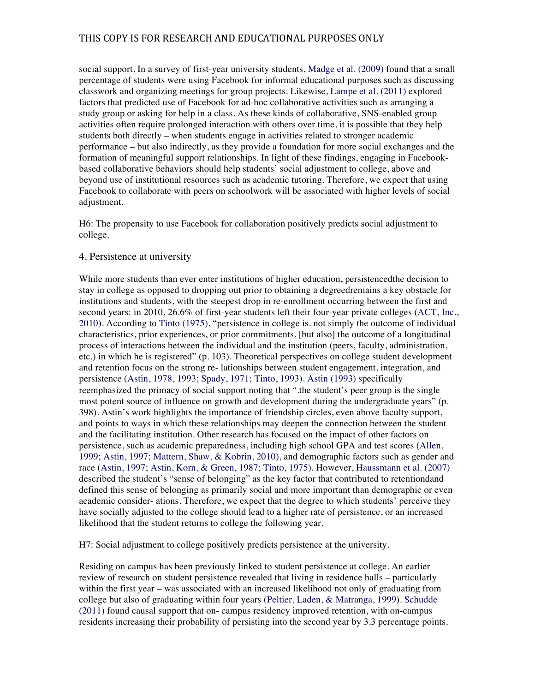social support. In a survey of first-year university students, Madge et al. (2009) found that a small percentage of students were using Facebook for informal educational purposes such as discussing classwork and organizing meetings for group projects. Likewise, Lampe et al. (2011) explored factors that predicted use of Facebook for ad-hoc collaborative activities such as arranging a study group or asking for help in a class. As these kinds of collaborative, SNS-enabled group activities often require prolonged interaction with others over time, it is possible that they help students both directly – when students engage in activities related to stronger academic performance – but also indirectly, as they provide a foundation for more social exchanges and the formation of meaningful support relationships. In light of these findings, engaging in Facebookbased collaborative behaviors should help students' social adjustment to college, above and beyond use of institutional resources such as academic tutoring. Therefore, we expect that using Facebook to collaborate with peers on schoolwork will be associated with higher levels of social adjustment.

H6: The propensity to use Facebook for collaboration positively predicts social adjustment to college.

### 4. Persistence at university

While more students than ever enter institutions of higher education, persistencedthe decision to stay in college as opposed to dropping out prior to obtaining a degreedremains a key obstacle for institutions and students, with the steepest drop in re-enrollment occurring between the first and second years: in 2010, 26.6% of first-year students left their four-year private colleges (ACT, Inc., 2010). According to Tinto (1975), "persistence in college is. not simply the outcome of individual characteristics, prior experiences, or prior commitments. [but also] the outcome of a longitudinal process of interactions between the individual and the institution (peers, faculty, administration, etc.) in which he is registered" (p. 103). Theoretical perspectives on college student development and retention focus on the strong re- lationships between student engagement, integration, and persistence (Astin, 1978, 1993; Spady, 1971; Tinto, 1993). Astin (1993) specifically reemphasized the primacy of social support noting that ".the student's peer group is the single most potent source of influence on growth and development during the undergraduate years" (p. 398). Astin's work highlights the importance of friendship circles, even above faculty support, and points to ways in which these relationships may deepen the connection between the student and the facilitating institution. Other research has focused on the impact of other factors on persistence, such as academic preparedness, including high school GPA and test scores (Allen, 1999; Astin, 1997; Mattern, Shaw, & Kobrin, 2010), and demographic factors such as gender and race (Astin, 1997; Astin, Korn, & Green, 1987; Tinto, 1975). However, Haussmann et al. (2007) described the student's "sense of belonging" as the key factor that contributed to retentiondand defined this sense of belonging as primarily social and more important than demographic or even academic consider- ations. Therefore, we expect that the degree to which students' perceive they have socially adjusted to the college should lead to a higher rate of persistence, or an increased likelihood that the student returns to college the following year.

H7: Social adjustment to college positively predicts persistence at the university.

Residing on campus has been previously linked to student persistence at college. An earlier review of research on student persistence revealed that living in residence halls – particularly within the first year – was associated with an increased likelihood not only of graduating from college but also of graduating within four years (Peltier, Laden, & Matranga, 1999). Schudde (2011) found causal support that on- campus residency improved retention, with on-campus residents increasing their probability of persisting into the second year by 3.3 percentage points.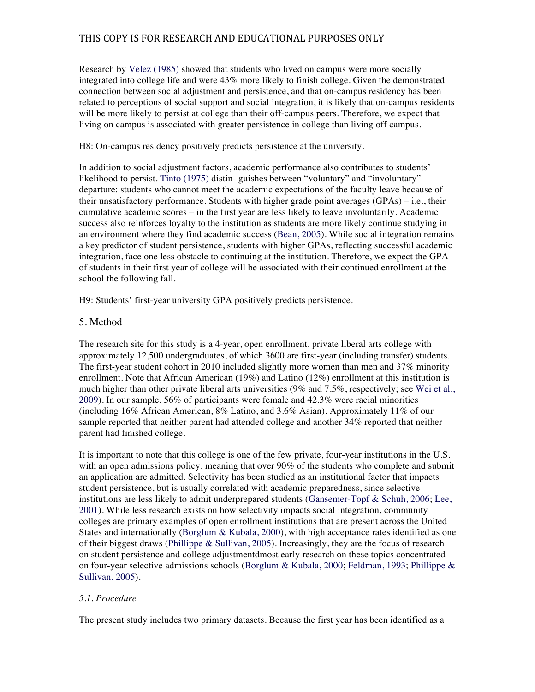Research by Velez (1985) showed that students who lived on campus were more socially integrated into college life and were 43% more likely to finish college. Given the demonstrated connection between social adjustment and persistence, and that on-campus residency has been related to perceptions of social support and social integration, it is likely that on-campus residents will be more likely to persist at college than their off-campus peers. Therefore, we expect that living on campus is associated with greater persistence in college than living off campus.

H8: On-campus residency positively predicts persistence at the university.

In addition to social adjustment factors, academic performance also contributes to students' likelihood to persist. Tinto (1975) distin- guishes between "voluntary" and "involuntary" departure: students who cannot meet the academic expectations of the faculty leave because of their unsatisfactory performance. Students with higher grade point averages (GPAs) – i.e., their cumulative academic scores – in the first year are less likely to leave involuntarily. Academic success also reinforces loyalty to the institution as students are more likely continue studying in an environment where they find academic success (Bean, 2005). While social integration remains a key predictor of student persistence, students with higher GPAs, reflecting successful academic integration, face one less obstacle to continuing at the institution. Therefore, we expect the GPA of students in their first year of college will be associated with their continued enrollment at the school the following fall.

H9: Students' first-year university GPA positively predicts persistence.

### 5. Method

The research site for this study is a 4-year, open enrollment, private liberal arts college with approximately 12,500 undergraduates, of which 3600 are first-year (including transfer) students. The first-year student cohort in 2010 included slightly more women than men and 37% minority enrollment. Note that African American (19%) and Latino (12%) enrollment at this institution is much higher than other private liberal arts universities (9% and 7.5%, respectively; see Wei et al., 2009). In our sample, 56% of participants were female and 42.3% were racial minorities (including 16% African American, 8% Latino, and 3.6% Asian). Approximately 11% of our sample reported that neither parent had attended college and another 34% reported that neither parent had finished college.

It is important to note that this college is one of the few private, four-year institutions in the U.S. with an open admissions policy, meaning that over 90% of the students who complete and submit an application are admitted. Selectivity has been studied as an institutional factor that impacts student persistence, but is usually correlated with academic preparedness, since selective institutions are less likely to admit underprepared students (Gansemer-Topf & Schuh, 2006; Lee, 2001). While less research exists on how selectivity impacts social integration, community colleges are primary examples of open enrollment institutions that are present across the United States and internationally (Borglum & Kubala, 2000), with high acceptance rates identified as one of their biggest draws (Phillippe & Sullivan, 2005). Increasingly, they are the focus of research on student persistence and college adjustmentdmost early research on these topics concentrated on four-year selective admissions schools (Borglum & Kubala, 2000; Feldman, 1993; Phillippe & Sullivan, 2005).

### *5.1. Procedure*

The present study includes two primary datasets. Because the first year has been identified as a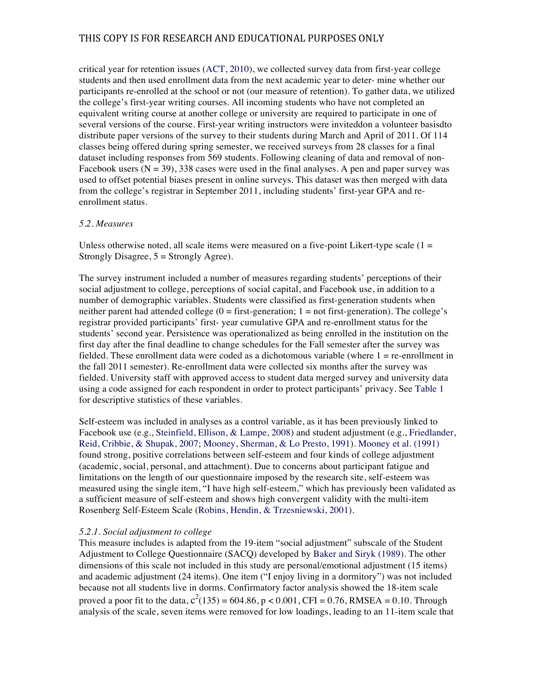critical year for retention issues (ACT, 2010), we collected survey data from first-year college students and then used enrollment data from the next academic year to deter- mine whether our participants re-enrolled at the school or not (our measure of retention). To gather data, we utilized the college's first-year writing courses. All incoming students who have not completed an equivalent writing course at another college or university are required to participate in one of several versions of the course. First-year writing instructors were inviteddon a volunteer basisdto distribute paper versions of the survey to their students during March and April of 2011. Of 114 classes being offered during spring semester, we received surveys from 28 classes for a final dataset including responses from 569 students. Following cleaning of data and removal of non-Facebook users  $(N = 39)$ , 338 cases were used in the final analyses. A pen and paper survey was used to offset potential biases present in online surveys. This dataset was then merged with data from the college's registrar in September 2011, including students' first-year GPA and reenrollment status.

#### *5.2. Measures*

Unless otherwise noted, all scale items were measured on a five-point Likert-type scale  $(1 =$ Strongly Disagree,  $5 =$  Strongly Agree).

The survey instrument included a number of measures regarding students' perceptions of their social adjustment to college, perceptions of social capital, and Facebook use, in addition to a number of demographic variables. Students were classified as first-generation students when neither parent had attended college  $(0 = \text{first-generation}; 1 = \text{not first-generation})$ . The college's registrar provided participants' first- year cumulative GPA and re-enrollment status for the students' second year. Persistence was operationalized as being enrolled in the institution on the first day after the final deadline to change schedules for the Fall semester after the survey was fielded. These enrollment data were coded as a dichotomous variable (where 1 = re-enrollment in the fall 2011 semester). Re-enrollment data were collected six months after the survey was fielded. University staff with approved access to student data merged survey and university data using a code assigned for each respondent in order to protect participants' privacy. See Table 1 for descriptive statistics of these variables.

Self-esteem was included in analyses as a control variable, as it has been previously linked to Facebook use (e.g., Steinfield, Ellison, & Lampe, 2008) and student adjustment (e.g., Friedlander, Reid, Cribbie, & Shupak, 2007; Mooney, Sherman, & Lo Presto, 1991). Mooney et al. (1991) found strong, positive correlations between self-esteem and four kinds of college adjustment (academic, social, personal, and attachment). Due to concerns about participant fatigue and limitations on the length of our questionnaire imposed by the research site, self-esteem was measured using the single item, "I have high self-esteem," which has previously been validated as a sufficient measure of self-esteem and shows high convergent validity with the multi-item Rosenberg Self-Esteem Scale (Robins, Hendin, & Trzesniewski, 2001).

#### *5.2.1. Social adjustment to college*

This measure includes is adapted from the 19-item "social adjustment" subscale of the Student Adjustment to College Questionnaire (SACQ) developed by Baker and Siryk (1989). The other dimensions of this scale not included in this study are personal/emotional adjustment (15 items) and academic adjustment (24 items). One item ("I enjoy living in a dormitory") was not included because not all students live in dorms. Confirmatory factor analysis showed the 18-item scale proved a poor fit to the data,  $c^2(135) = 604.86$ , p < 0.001, CFI = 0.76, RMSEA = 0.10. Through analysis of the scale, seven items were removed for low loadings, leading to an 11-item scale that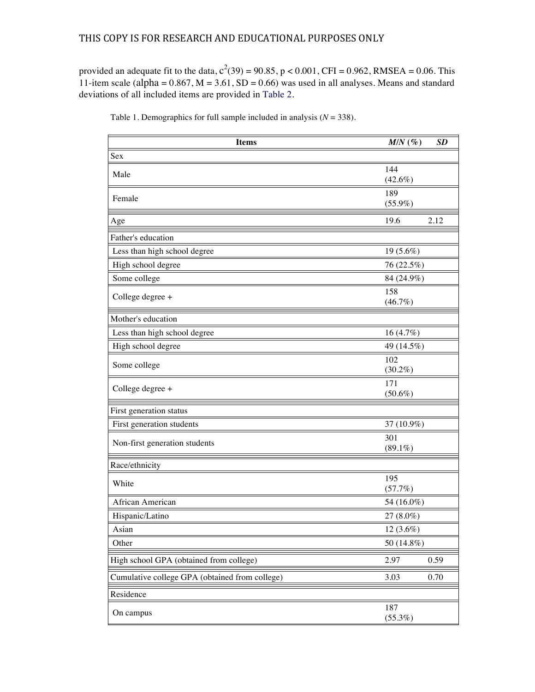provided an adequate fit to the data,  $c^2(39) = 90.85$ , p < 0.001, CFI = 0.962, RMSEA = 0.06. This 11-item scale (alpha =  $0.867$ , M =  $3.61$ , SD =  $0.66$ ) was used in all analyses. Means and standard deviations of all included items are provided in Table 2.

| <b>Items</b>                                   | $M/N$ $(\%)$<br>SD |  |  |  |
|------------------------------------------------|--------------------|--|--|--|
| Sex                                            |                    |  |  |  |
| Male                                           | 144                |  |  |  |
|                                                | $(42.6\%)$         |  |  |  |
| Female                                         | 189<br>$(55.9\%)$  |  |  |  |
| Age                                            | 2.12<br>19.6       |  |  |  |
| Father's education                             |                    |  |  |  |
| Less than high school degree                   | 19 (5.6%)          |  |  |  |
| High school degree                             | 76 (22.5%)         |  |  |  |
| Some college                                   | 84 (24.9%)         |  |  |  |
| College degree +                               | 158                |  |  |  |
|                                                | $(46.7\%)$         |  |  |  |
| Mother's education                             |                    |  |  |  |
| Less than high school degree                   | 16 (4.7%)          |  |  |  |
| High school degree                             | 49 (14.5%)         |  |  |  |
| Some college                                   | 102                |  |  |  |
|                                                | $(30.2\%)$<br>171  |  |  |  |
| College degree +                               | $(50.6\%)$         |  |  |  |
| First generation status                        |                    |  |  |  |
| First generation students                      | 37 (10.9%)         |  |  |  |
| Non-first generation students                  | 301                |  |  |  |
|                                                | $(89.1\%)$         |  |  |  |
| Race/ethnicity                                 |                    |  |  |  |
| White                                          | 195                |  |  |  |
|                                                | (57.7%)            |  |  |  |
| African American                               | 54 (16.0%)         |  |  |  |
| Hispanic/Latino                                | 27 (8.0%)          |  |  |  |
| Asian                                          | 12 (3.6%)          |  |  |  |
| Other                                          | 50 (14.8%)         |  |  |  |
| High school GPA (obtained from college)        | 0.59<br>2.97       |  |  |  |
| Cumulative college GPA (obtained from college) | 3.03<br>0.70       |  |  |  |
| Residence                                      |                    |  |  |  |
| On campus                                      | 187                |  |  |  |
|                                                | (55.3%)            |  |  |  |

Table 1. Demographics for full sample included in analysis  $(N = 338)$ .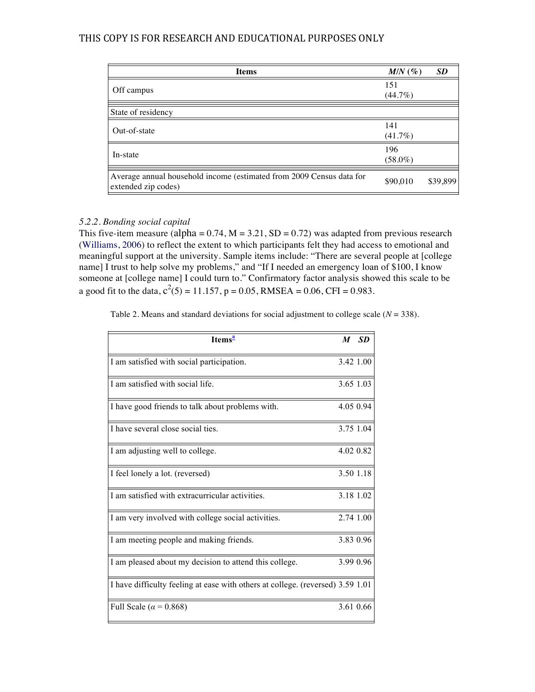| <b>Items</b>                                                                                | $M/N$ $(\%)$      | <b>SD</b> |
|---------------------------------------------------------------------------------------------|-------------------|-----------|
| Off campus                                                                                  | 151<br>$(44.7\%)$ |           |
| State of residency                                                                          |                   |           |
| Out-of-state                                                                                | 141<br>$(41.7\%)$ |           |
| In-state                                                                                    | 196<br>$(58.0\%)$ |           |
| Average annual household income (estimated from 2009 Census data for<br>extended zip codes) | \$90,010          | \$39,899  |

### *5.2.2. Bonding social capital*

This five-item measure (alpha =  $0.74$ , M =  $3.21$ , SD =  $0.72$ ) was adapted from previous research (Williams, 2006) to reflect the extent to which participants felt they had access to emotional and meaningful support at the university. Sample items include: "There are several people at [college name] I trust to help solve my problems," and "If I needed an emergency loan of \$100, I know someone at [college name] I could turn to." Confirmatory factor analysis showed this scale to be a good fit to the data,  $c^2(5) = 11.157$ , p = 0.05, RMSEA = 0.06, CFI = 0.983.

Table 2. Means and standard deviations for social adjustment to college scale  $(N = 338)$ .

| Items <sup>a</sup>                                                             |           | $M$ SD    |
|--------------------------------------------------------------------------------|-----------|-----------|
| I am satisfied with social participation.                                      | 3.42 1.00 |           |
| I am satisfied with social life.                                               |           | 3.65 1.03 |
| I have good friends to talk about problems with.                               |           | 4.05 0.94 |
| I have several close social ties.                                              |           | 3.75 1.04 |
| I am adjusting well to college.                                                |           | 4.02 0.82 |
| I feel lonely a lot. (reversed)                                                |           | 3.50 1.18 |
| I am satisfied with extracurricular activities.                                | 3.18 1.02 |           |
| I am very involved with college social activities.                             | 2.74 1.00 |           |
| I am meeting people and making friends.                                        | 3.83 0.96 |           |
| I am pleased about my decision to attend this college.                         | 3.99 0.96 |           |
| I have difficulty feeling at ease with others at college. (reversed) 3.59 1.01 |           |           |
| Full Scale ( $\alpha$ = 0.868)                                                 | 3.61 0.66 |           |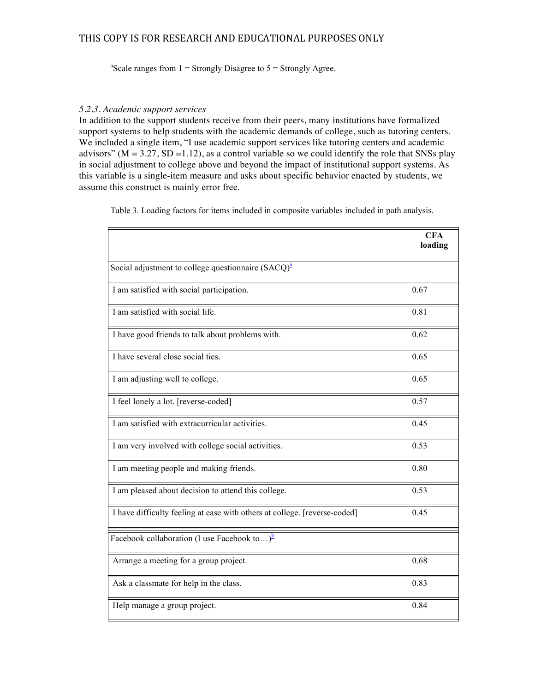<sup>a</sup>Scale ranges from  $1 =$  Strongly Disagree to  $5 =$  Strongly Agree.

#### *5.2.3. Academic support services*

In addition to the support students receive from their peers, many institutions have formalized support systems to help students with the academic demands of college, such as tutoring centers. We included a single item, "I use academic support services like tutoring centers and academic advisors" ( $M = 3.27$ ,  $SD = 1.12$ ), as a control variable so we could identify the role that SNSs play in social adjustment to college above and beyond the impact of institutional support systems. As this variable is a single-item measure and asks about specific behavior enacted by students, we assume this construct is mainly error free.

Table 3. Loading factors for items included in composite variables included in path analysis.

|                                                                           | <b>CFA</b><br>loading |
|---------------------------------------------------------------------------|-----------------------|
| Social adjustment to college questionnaire $(SACQ)^{a}$                   |                       |
| I am satisfied with social participation.                                 | 0.67                  |
| I am satisfied with social life.                                          | 0.81                  |
| I have good friends to talk about problems with.                          | 0.62                  |
| I have several close social ties.                                         | 0.65                  |
| I am adjusting well to college.                                           | 0.65                  |
| I feel lonely a lot. [reverse-coded]                                      | 0.57                  |
| I am satisfied with extracurricular activities.                           | 0.45                  |
| I am very involved with college social activities.                        | 0.53                  |
| I am meeting people and making friends.                                   | 0.80                  |
| I am pleased about decision to attend this college.                       | 0.53                  |
| I have difficulty feeling at ease with others at college. [reverse-coded] | 0.45                  |
| Facebook collaboration (I use Facebook to) $\frac{b}{2}$                  |                       |
| Arrange a meeting for a group project.                                    | 0.68                  |
| Ask a classmate for help in the class.                                    | 0.83                  |
| Help manage a group project.                                              | 0.84                  |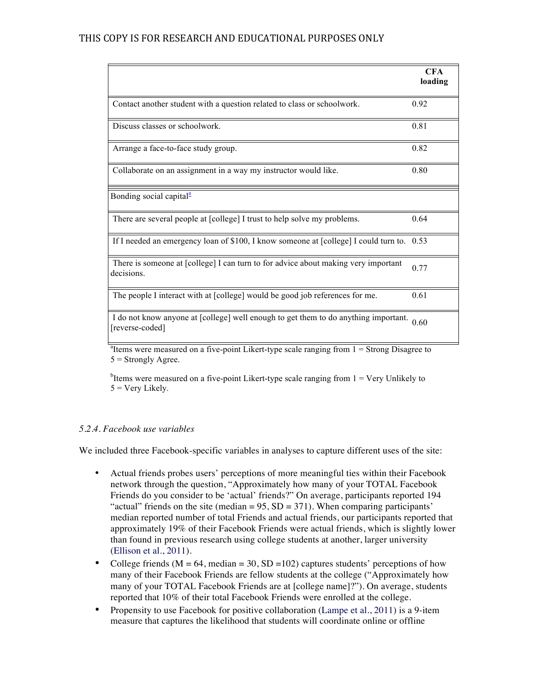|                                                                                                                                       | <b>CFA</b><br>loading |
|---------------------------------------------------------------------------------------------------------------------------------------|-----------------------|
| Contact another student with a question related to class or schoolwork.                                                               | 0.92                  |
| Discuss classes or schoolwork.                                                                                                        | 0.81                  |
| Arrange a face-to-face study group.                                                                                                   | 0.82                  |
| Collaborate on an assignment in a way my instructor would like.                                                                       | 0.80                  |
| Bonding social capital <sup>a</sup>                                                                                                   |                       |
| There are several people at [college] I trust to help solve my problems.                                                              | 0.64                  |
| If I needed an emergency loan of \$100, I know someone at [college] I could turn to.                                                  | 0.53                  |
| There is someone at [college] I can turn to for advice about making very important<br>decisions.                                      | 0.77                  |
| The people I interact with at [college] would be good job references for me.                                                          | 0.61                  |
| I do not know anyone at [college] well enough to get them to do anything important.<br>[reverse-coded]                                | 0.60                  |
| $a$ <sup>a</sup> Items were measured on a five-point Likert-type scale ranging from $1 =$ Strong Disagree to<br>$5 =$ Strongly Agree. |                       |

<sup>b</sup>Items were measured on a five-point Likert-type scale ranging from  $1 = \text{Very Unlikely to }$  $5 =$  Very Likely.

### *5.2.4. Facebook use variables*

We included three Facebook-specific variables in analyses to capture different uses of the site:

- Actual friends probes users' perceptions of more meaningful ties within their Facebook network through the question, "Approximately how many of your TOTAL Facebook Friends do you consider to be 'actual' friends?" On average, participants reported 194 "actual" friends on the site (median  $= 95$ , SD  $= 371$ ). When comparing participants' median reported number of total Friends and actual friends, our participants reported that approximately 19% of their Facebook Friends were actual friends, which is slightly lower than found in previous research using college students at another, larger university (Ellison et al., 2011).
- College friends ( $M = 64$ , median = 30, SD = 102) captures students' perceptions of how many of their Facebook Friends are fellow students at the college ("Approximately how many of your TOTAL Facebook Friends are at [college name]?"). On average, students reported that 10% of their total Facebook Friends were enrolled at the college.
- Propensity to use Facebook for positive collaboration (Lampe et al., 2011) is a 9-item measure that captures the likelihood that students will coordinate online or offline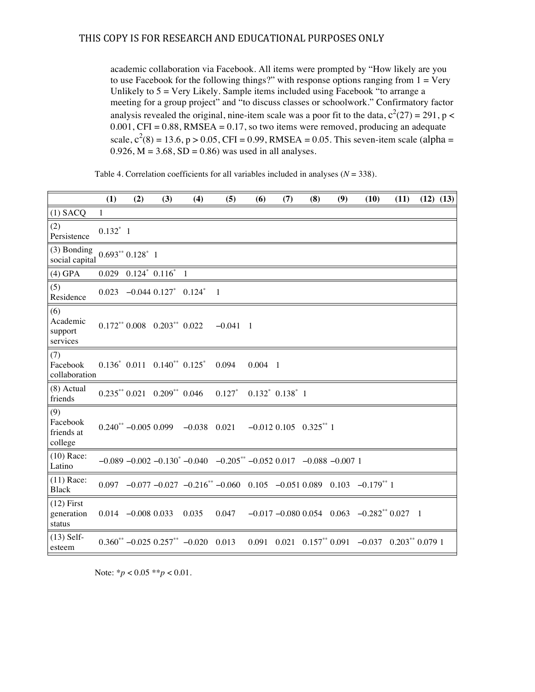academic collaboration via Facebook. All items were prompted by "How likely are you to use Facebook for the following things?" with response options ranging from  $1 = V$ ery Unlikely to  $5 = \text{Very Likely. Sample items included using Facebook "to arrange a"$ meeting for a group project" and "to discuss classes or schoolwork." Confirmatory factor analysis revealed the original, nine-item scale was a poor fit to the data,  $c^2(27) = 291$ , p <  $0.001$ , CFI = 0.88, RMSEA = 0.17, so two items were removed, producing an adequate scale,  $c^2(8) = 13.6$ , p > 0.05, CFI = 0.99, RMSEA = 0.05. This seven-item scale (alpha =  $0.926$ ,  $M = 3.68$ ,  $SD = 0.86$ ) was used in all analyses.

Table 4. Correlation coefficients for all variables included in analyses  $(N = 338)$ .

|                                          | (1)         | (2)                   | (3)                                             | (4)                                           | (5)                                                                                     | (6)       | (7) | (8) | (9) | (10)                                                                 | (11) | $(12)$ $(13)$ |  |
|------------------------------------------|-------------|-----------------------|-------------------------------------------------|-----------------------------------------------|-----------------------------------------------------------------------------------------|-----------|-----|-----|-----|----------------------------------------------------------------------|------|---------------|--|
| $(1)$ SACQ                               | 1           |                       |                                                 |                                               |                                                                                         |           |     |     |     |                                                                      |      |               |  |
| (2)<br>Persistence                       | $0.132^*$ 1 |                       |                                                 |                                               |                                                                                         |           |     |     |     |                                                                      |      |               |  |
| (3) Bonding<br>social capital            |             | $0.693**0.128**1$     |                                                 |                                               |                                                                                         |           |     |     |     |                                                                      |      |               |  |
| $(4)$ GPA                                |             |                       | $0.029$ $0.124$ $0.116$ $1$                     |                                               |                                                                                         |           |     |     |     |                                                                      |      |               |  |
| (5)<br>Residence                         |             |                       | $0.023$ -0.044 $0.127^*$ 0.124 <sup>*</sup>     |                                               | $\blacksquare$                                                                          |           |     |     |     |                                                                      |      |               |  |
| (6)<br>Academic<br>support<br>services   |             |                       | $0.172^{**}$ 0.008 $0.203^{**}$ 0.022           |                                               | $-0.041$ 1                                                                              |           |     |     |     |                                                                      |      |               |  |
| (7)<br>Facebook<br>collaboration         |             |                       | $0.136^*$ 0.011 $0.140^{**}$ 0.125 <sup>*</sup> |                                               | 0.094                                                                                   | $0.004$ 1 |     |     |     |                                                                      |      |               |  |
| (8) Actual<br>friends                    |             |                       | $0.235***0.021$ $0.209**0.046$                  |                                               | $0.127^*$ $0.132^*$ $0.138^*$ 1                                                         |           |     |     |     |                                                                      |      |               |  |
| (9)<br>Facebook<br>friends at<br>college |             |                       |                                                 |                                               | $0.240^{**} - 0.0050099 - 0.0380021 - 0.01201050325^{**}$ 1                             |           |     |     |     |                                                                      |      |               |  |
| $(10)$ Race:<br>Latino                   |             |                       |                                                 |                                               | $-0.089 - 0.002 - 0.130^* - 0.040 -0.205^{**} - 0.052 0.017 -0.088 - 0.0071$            |           |     |     |     |                                                                      |      |               |  |
| $(11)$ Race:<br><b>Black</b>             |             |                       |                                                 |                                               | $0.097 -0.077 -0.027 -0.216^{**} -0.060$ $0.105 -0.051$ $0.089$ $0.103$ $-0.179^{**}$ 1 |           |     |     |     |                                                                      |      |               |  |
| $(12)$ First<br>generation<br>status     |             | $0.014 - 0.008 0.033$ |                                                 | 0.035                                         | 0.047                                                                                   |           |     |     |     | $-0.017 - 0.080 0.054 0.063 -0.282^{**} 0.027 1$                     |      |               |  |
| $(13)$ Self-<br>esteem                   |             |                       |                                                 | $0.360^{**}$ -0.025 $0.257^{**}$ -0.020 0.013 |                                                                                         |           |     |     |     | $0.091$ $0.021$ $0.157^{**}$ $0.091$ $-0.037$ $0.203^{**}$ $0.079$ 1 |      |               |  |

Note: \**p* < 0.05 \*\**p* < 0.01.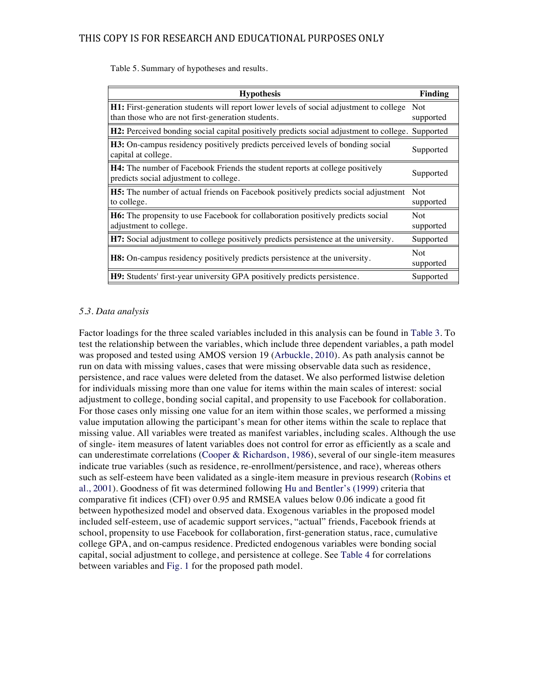Table 5. Summary of hypotheses and results.

| <b>Hypothesis</b>                                                                                                                           |                         |  |  |  |  |  |  |
|---------------------------------------------------------------------------------------------------------------------------------------------|-------------------------|--|--|--|--|--|--|
| H1: First-generation students will report lower levels of social adjustment to college<br>than those who are not first-generation students. | <b>Not</b><br>supported |  |  |  |  |  |  |
| H2: Perceived bonding social capital positively predicts social adjustment to college. Supported                                            |                         |  |  |  |  |  |  |
| <b>H3:</b> On-campus residency positively predicts perceived levels of bonding social<br>capital at college.                                |                         |  |  |  |  |  |  |
| <b>H4:</b> The number of Facebook Friends the student reports at college positively<br>predicts social adjustment to college.               |                         |  |  |  |  |  |  |
| <b>H5:</b> The number of actual friends on Facebook positively predicts social adjustment<br>to college.                                    | <b>Not</b><br>supported |  |  |  |  |  |  |
| <b>H6:</b> The propensity to use Facebook for collaboration positively predicts social<br>adjustment to college.                            | <b>Not</b><br>supported |  |  |  |  |  |  |
| <b>H7:</b> Social adjustment to college positively predicts persistence at the university.                                                  | Supported               |  |  |  |  |  |  |
| <b>H8:</b> On-campus residency positively predicts persistence at the university.                                                           |                         |  |  |  |  |  |  |
| <b>H9:</b> Students' first-year university GPA positively predicts persistence.                                                             |                         |  |  |  |  |  |  |

#### *5.3. Data analysis*

Factor loadings for the three scaled variables included in this analysis can be found in Table 3. To test the relationship between the variables, which include three dependent variables, a path model was proposed and tested using AMOS version 19 (Arbuckle, 2010). As path analysis cannot be run on data with missing values, cases that were missing observable data such as residence, persistence, and race values were deleted from the dataset. We also performed listwise deletion for individuals missing more than one value for items within the main scales of interest: social adjustment to college, bonding social capital, and propensity to use Facebook for collaboration. For those cases only missing one value for an item within those scales, we performed a missing value imputation allowing the participant's mean for other items within the scale to replace that missing value. All variables were treated as manifest variables, including scales. Although the use of single- item measures of latent variables does not control for error as efficiently as a scale and can underestimate correlations (Cooper & Richardson, 1986), several of our single-item measures indicate true variables (such as residence, re-enrollment/persistence, and race), whereas others such as self-esteem have been validated as a single-item measure in previous research (Robins et al., 2001). Goodness of fit was determined following Hu and Bentler's (1999) criteria that comparative fit indices (CFI) over 0.95 and RMSEA values below 0.06 indicate a good fit between hypothesized model and observed data. Exogenous variables in the proposed model included self-esteem, use of academic support services, "actual" friends, Facebook friends at school, propensity to use Facebook for collaboration, first-generation status, race, cumulative college GPA, and on-campus residence. Predicted endogenous variables were bonding social capital, social adjustment to college, and persistence at college. See Table 4 for correlations between variables and Fig. 1 for the proposed path model.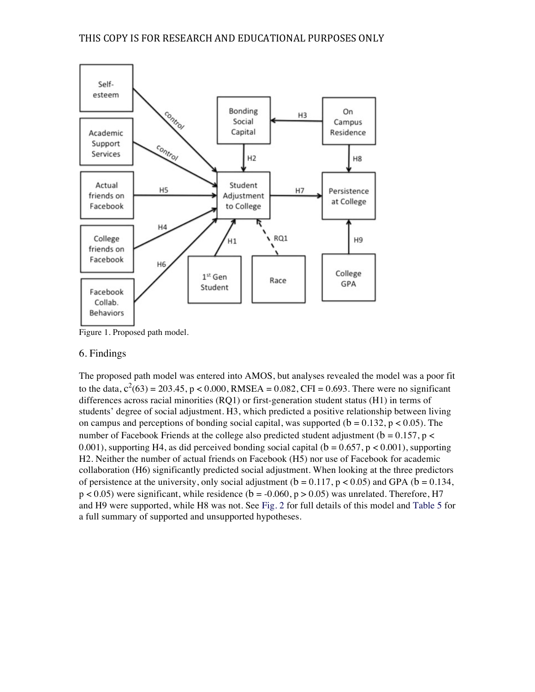

Figure 1. Proposed path model.

# 6. Findings

The proposed path model was entered into AMOS, but analyses revealed the model was a poor fit to the data,  $c^2(63) = 203.45$ , p < 0.000, RMSEA = 0.082, CFI = 0.693. There were no significant differences across racial minorities (RQ1) or first-generation student status (H1) in terms of students' degree of social adjustment. H3, which predicted a positive relationship between living on campus and perceptions of bonding social capital, was supported ( $b = 0.132$ ,  $p < 0.05$ ). The number of Facebook Friends at the college also predicted student adjustment ( $b = 0.157$ ,  $p <$ 0.001), supporting H4, as did perceived bonding social capital ( $b = 0.657$ ,  $p < 0.001$ ), supporting H2. Neither the number of actual friends on Facebook (H5) nor use of Facebook for academic collaboration (H6) significantly predicted social adjustment. When looking at the three predictors of persistence at the university, only social adjustment ( $b = 0.117$ ,  $p < 0.05$ ) and GPA ( $b = 0.134$ ,  $p < 0.05$ ) were significant, while residence ( $b = -0.060$ ,  $p > 0.05$ ) was unrelated. Therefore, H7 and H9 were supported, while H8 was not. See Fig. 2 for full details of this model and Table 5 for a full summary of supported and unsupported hypotheses.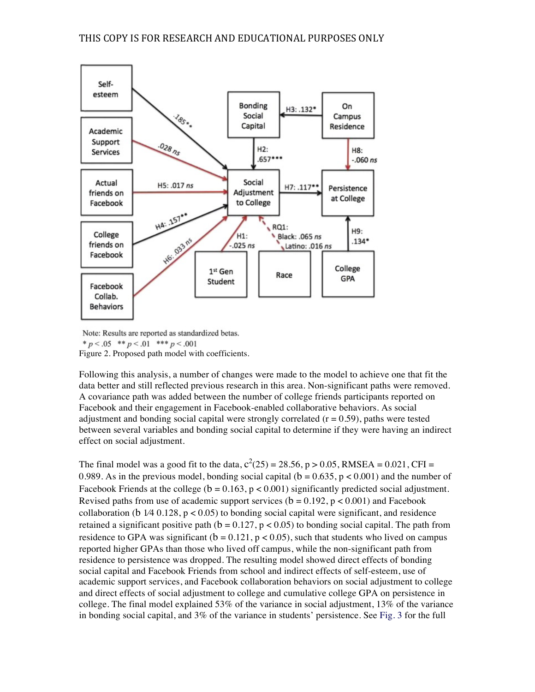

Note: Results are reported as standardized betas.  $p < .05$  \*\*  $p < .01$  \*\*\*  $p < .001$ Figure 2. Proposed path model with coefficients.

Following this analysis, a number of changes were made to the model to achieve one that fit the data better and still reflected previous research in this area. Non-significant paths were removed. A covariance path was added between the number of college friends participants reported on Facebook and their engagement in Facebook-enabled collaborative behaviors. As social adjustment and bonding social capital were strongly correlated  $(r = 0.59)$ , paths were tested between several variables and bonding social capital to determine if they were having an indirect effect on social adjustment.

The final model was a good fit to the data,  $c^2(25) = 28.56$ ,  $p > 0.05$ , RMSEA = 0.021, CFI = 0.989. As in the previous model, bonding social capital ( $b = 0.635$ ,  $p < 0.001$ ) and the number of Facebook Friends at the college ( $b = 0.163$ ,  $p < 0.001$ ) significantly predicted social adjustment. Revised paths from use of academic support services ( $b = 0.192$ ,  $p < 0.001$ ) and Facebook collaboration (b  $1/4$  0.128, p < 0.05) to bonding social capital were significant, and residence retained a significant positive path ( $b = 0.127$ ,  $p < 0.05$ ) to bonding social capital. The path from residence to GPA was significant ( $b = 0.121$ ,  $p < 0.05$ ), such that students who lived on campus reported higher GPAs than those who lived off campus, while the non-significant path from residence to persistence was dropped. The resulting model showed direct effects of bonding social capital and Facebook Friends from school and indirect effects of self-esteem, use of academic support services, and Facebook collaboration behaviors on social adjustment to college and direct effects of social adjustment to college and cumulative college GPA on persistence in college. The final model explained 53% of the variance in social adjustment, 13% of the variance in bonding social capital, and 3% of the variance in students' persistence. See Fig. 3 for the full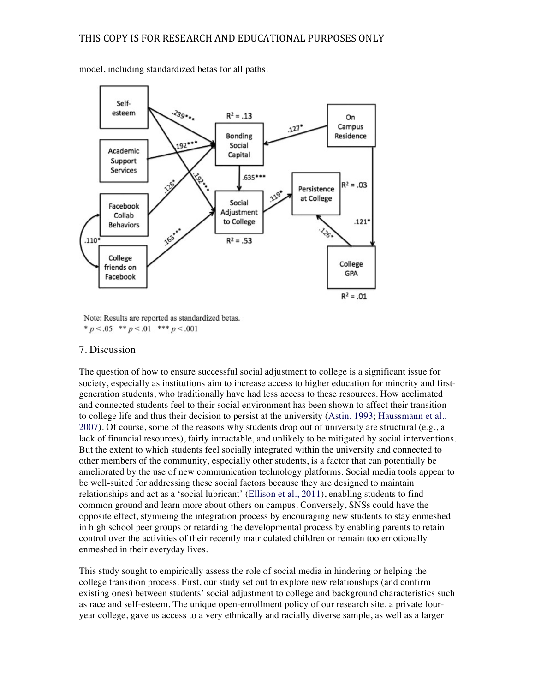

model, including standardized betas for all paths.

Note: Results are reported as standardized betas. \*  $p < .05$  \*\*  $p < .01$  \*\*\*  $p < .001$ 

#### 7. Discussion

The question of how to ensure successful social adjustment to college is a significant issue for society, especially as institutions aim to increase access to higher education for minority and firstgeneration students, who traditionally have had less access to these resources. How acclimated and connected students feel to their social environment has been shown to affect their transition to college life and thus their decision to persist at the university (Astin, 1993; Haussmann et al., 2007). Of course, some of the reasons why students drop out of university are structural (e.g., a lack of financial resources), fairly intractable, and unlikely to be mitigated by social interventions. But the extent to which students feel socially integrated within the university and connected to other members of the community, especially other students, is a factor that can potentially be ameliorated by the use of new communication technology platforms. Social media tools appear to be well-suited for addressing these social factors because they are designed to maintain relationships and act as a 'social lubricant' (Ellison et al., 2011), enabling students to find common ground and learn more about others on campus. Conversely, SNSs could have the opposite effect, stymieing the integration process by encouraging new students to stay enmeshed in high school peer groups or retarding the developmental process by enabling parents to retain control over the activities of their recently matriculated children or remain too emotionally enmeshed in their everyday lives.

This study sought to empirically assess the role of social media in hindering or helping the college transition process. First, our study set out to explore new relationships (and confirm existing ones) between students' social adjustment to college and background characteristics such as race and self-esteem. The unique open-enrollment policy of our research site, a private fouryear college, gave us access to a very ethnically and racially diverse sample, as well as a larger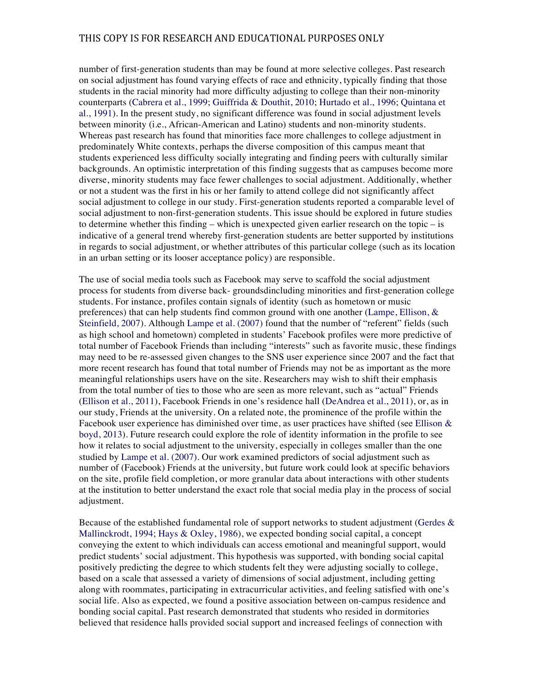number of first-generation students than may be found at more selective colleges. Past research on social adjustment has found varying effects of race and ethnicity, typically finding that those students in the racial minority had more difficulty adjusting to college than their non-minority counterparts (Cabrera et al., 1999; Guiffrida & Douthit, 2010; Hurtado et al., 1996; Quintana et al., 1991). In the present study, no significant difference was found in social adjustment levels between minority (i.e., African-American and Latino) students and non-minority students. Whereas past research has found that minorities face more challenges to college adjustment in predominately White contexts, perhaps the diverse composition of this campus meant that students experienced less difficulty socially integrating and finding peers with culturally similar backgrounds. An optimistic interpretation of this finding suggests that as campuses become more diverse, minority students may face fewer challenges to social adjustment. Additionally, whether or not a student was the first in his or her family to attend college did not significantly affect social adjustment to college in our study. First-generation students reported a comparable level of social adjustment to non-first-generation students. This issue should be explored in future studies to determine whether this finding – which is unexpected given earlier research on the topic – is indicative of a general trend whereby first-generation students are better supported by institutions in regards to social adjustment, or whether attributes of this particular college (such as its location in an urban setting or its looser acceptance policy) are responsible.

The use of social media tools such as Facebook may serve to scaffold the social adjustment process for students from diverse back- groundsdincluding minorities and first-generation college students. For instance, profiles contain signals of identity (such as hometown or music preferences) that can help students find common ground with one another (Lampe, Ellison, & Steinfield, 2007). Although Lampe et al. (2007) found that the number of "referent" fields (such as high school and hometown) completed in students' Facebook profiles were more predictive of total number of Facebook Friends than including "interests" such as favorite music, these findings may need to be re-assessed given changes to the SNS user experience since 2007 and the fact that more recent research has found that total number of Friends may not be as important as the more meaningful relationships users have on the site. Researchers may wish to shift their emphasis from the total number of ties to those who are seen as more relevant, such as "actual" Friends (Ellison et al., 2011), Facebook Friends in one's residence hall (DeAndrea et al., 2011), or, as in our study, Friends at the university. On a related note, the prominence of the profile within the Facebook user experience has diminished over time, as user practices have shifted (see Ellison & boyd, 2013). Future research could explore the role of identity information in the profile to see how it relates to social adjustment to the university, especially in colleges smaller than the one studied by Lampe et al. (2007). Our work examined predictors of social adjustment such as number of (Facebook) Friends at the university, but future work could look at specific behaviors on the site, profile field completion, or more granular data about interactions with other students at the institution to better understand the exact role that social media play in the process of social adjustment.

Because of the established fundamental role of support networks to student adjustment (Gerdes & Mallinckrodt, 1994; Hays & Oxley, 1986), we expected bonding social capital, a concept conveying the extent to which individuals can access emotional and meaningful support, would predict students' social adjustment. This hypothesis was supported, with bonding social capital positively predicting the degree to which students felt they were adjusting socially to college, based on a scale that assessed a variety of dimensions of social adjustment, including getting along with roommates, participating in extracurricular activities, and feeling satisfied with one's social life. Also as expected, we found a positive association between on-campus residence and bonding social capital. Past research demonstrated that students who resided in dormitories believed that residence halls provided social support and increased feelings of connection with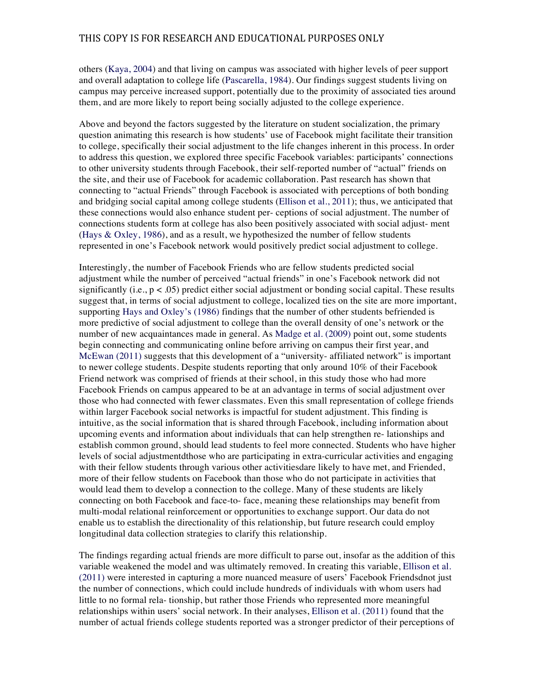others (Kaya, 2004) and that living on campus was associated with higher levels of peer support and overall adaptation to college life (Pascarella, 1984). Our findings suggest students living on campus may perceive increased support, potentially due to the proximity of associated ties around them, and are more likely to report being socially adjusted to the college experience.

Above and beyond the factors suggested by the literature on student socialization, the primary question animating this research is how students' use of Facebook might facilitate their transition to college, specifically their social adjustment to the life changes inherent in this process. In order to address this question, we explored three specific Facebook variables: participants' connections to other university students through Facebook, their self-reported number of "actual" friends on the site, and their use of Facebook for academic collaboration. Past research has shown that connecting to "actual Friends" through Facebook is associated with perceptions of both bonding and bridging social capital among college students (Ellison et al., 2011); thus, we anticipated that these connections would also enhance student per- ceptions of social adjustment. The number of connections students form at college has also been positively associated with social adjust- ment (Hays & Oxley, 1986), and as a result, we hypothesized the number of fellow students represented in one's Facebook network would positively predict social adjustment to college.

Interestingly, the number of Facebook Friends who are fellow students predicted social adjustment while the number of perceived "actual friends" in one's Facebook network did not significantly (i.e.,  $p < .05$ ) predict either social adjustment or bonding social capital. These results suggest that, in terms of social adjustment to college, localized ties on the site are more important, supporting Hays and Oxley's (1986) findings that the number of other students befriended is more predictive of social adjustment to college than the overall density of one's network or the number of new acquaintances made in general. As Madge et al. (2009) point out, some students begin connecting and communicating online before arriving on campus their first year, and McEwan (2011) suggests that this development of a "university- affiliated network" is important to newer college students. Despite students reporting that only around 10% of their Facebook Friend network was comprised of friends at their school, in this study those who had more Facebook Friends on campus appeared to be at an advantage in terms of social adjustment over those who had connected with fewer classmates. Even this small representation of college friends within larger Facebook social networks is impactful for student adjustment. This finding is intuitive, as the social information that is shared through Facebook, including information about upcoming events and information about individuals that can help strengthen re- lationships and establish common ground, should lead students to feel more connected. Students who have higher levels of social adjustmentdthose who are participating in extra-curricular activities and engaging with their fellow students through various other activitiesdare likely to have met, and Friended, more of their fellow students on Facebook than those who do not participate in activities that would lead them to develop a connection to the college. Many of these students are likely connecting on both Facebook and face-to- face, meaning these relationships may benefit from multi-modal relational reinforcement or opportunities to exchange support. Our data do not enable us to establish the directionality of this relationship, but future research could employ longitudinal data collection strategies to clarify this relationship.

The findings regarding actual friends are more difficult to parse out, insofar as the addition of this variable weakened the model and was ultimately removed. In creating this variable, Ellison et al. (2011) were interested in capturing a more nuanced measure of users' Facebook Friendsdnot just the number of connections, which could include hundreds of individuals with whom users had little to no formal rela- tionship, but rather those Friends who represented more meaningful relationships within users' social network. In their analyses, Ellison et al. (2011) found that the number of actual friends college students reported was a stronger predictor of their perceptions of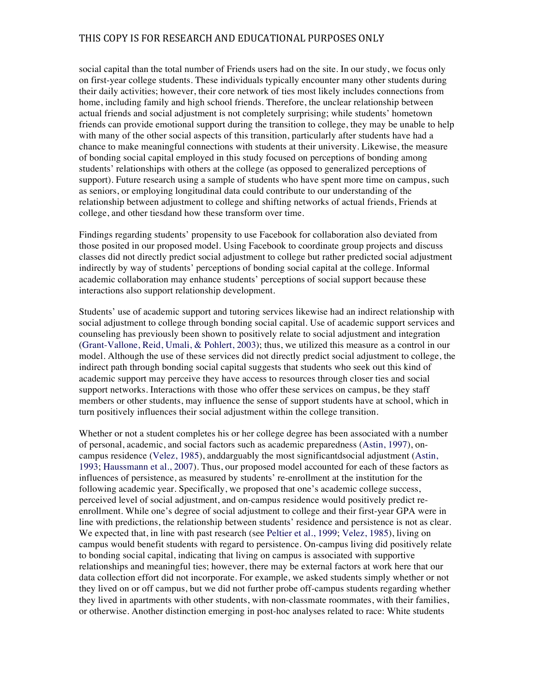social capital than the total number of Friends users had on the site. In our study, we focus only on first-year college students. These individuals typically encounter many other students during their daily activities; however, their core network of ties most likely includes connections from home, including family and high school friends. Therefore, the unclear relationship between actual friends and social adjustment is not completely surprising; while students' hometown friends can provide emotional support during the transition to college, they may be unable to help with many of the other social aspects of this transition, particularly after students have had a chance to make meaningful connections with students at their university. Likewise, the measure of bonding social capital employed in this study focused on perceptions of bonding among students' relationships with others at the college (as opposed to generalized perceptions of support). Future research using a sample of students who have spent more time on campus, such as seniors, or employing longitudinal data could contribute to our understanding of the relationship between adjustment to college and shifting networks of actual friends, Friends at college, and other tiesdand how these transform over time.

Findings regarding students' propensity to use Facebook for collaboration also deviated from those posited in our proposed model. Using Facebook to coordinate group projects and discuss classes did not directly predict social adjustment to college but rather predicted social adjustment indirectly by way of students' perceptions of bonding social capital at the college. Informal academic collaboration may enhance students' perceptions of social support because these interactions also support relationship development.

Students' use of academic support and tutoring services likewise had an indirect relationship with social adjustment to college through bonding social capital. Use of academic support services and counseling has previously been shown to positively relate to social adjustment and integration (Grant-Vallone, Reid, Umali, & Pohlert, 2003); thus, we utilized this measure as a control in our model. Although the use of these services did not directly predict social adjustment to college, the indirect path through bonding social capital suggests that students who seek out this kind of academic support may perceive they have access to resources through closer ties and social support networks. Interactions with those who offer these services on campus, be they staff members or other students, may influence the sense of support students have at school, which in turn positively influences their social adjustment within the college transition.

Whether or not a student completes his or her college degree has been associated with a number of personal, academic, and social factors such as academic preparedness (Astin, 1997), oncampus residence (Velez, 1985), anddarguably the most significantdsocial adjustment (Astin, 1993; Haussmann et al., 2007). Thus, our proposed model accounted for each of these factors as influences of persistence, as measured by students' re-enrollment at the institution for the following academic year. Specifically, we proposed that one's academic college success, perceived level of social adjustment, and on-campus residence would positively predict reenrollment. While one's degree of social adjustment to college and their first-year GPA were in line with predictions, the relationship between students' residence and persistence is not as clear. We expected that, in line with past research (see Peltier et al., 1999; Velez, 1985), living on campus would benefit students with regard to persistence. On-campus living did positively relate to bonding social capital, indicating that living on campus is associated with supportive relationships and meaningful ties; however, there may be external factors at work here that our data collection effort did not incorporate. For example, we asked students simply whether or not they lived on or off campus, but we did not further probe off-campus students regarding whether they lived in apartments with other students, with non-classmate roommates, with their families, or otherwise. Another distinction emerging in post-hoc analyses related to race: White students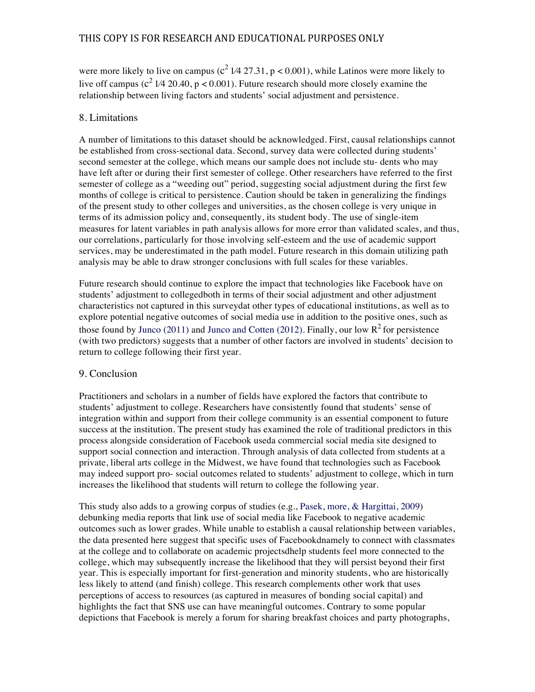were more likely to live on campus ( $c^2 1/4 27.31$ , p < 0.001), while Latinos were more likely to live off campus ( $c^2$  1/4 20.40, p < 0.001). Future research should more closely examine the relationship between living factors and students' social adjustment and persistence.

### 8. Limitations

A number of limitations to this dataset should be acknowledged. First, causal relationships cannot be established from cross-sectional data. Second, survey data were collected during students' second semester at the college, which means our sample does not include stu- dents who may have left after or during their first semester of college. Other researchers have referred to the first semester of college as a "weeding out" period, suggesting social adjustment during the first few months of college is critical to persistence. Caution should be taken in generalizing the findings of the present study to other colleges and universities, as the chosen college is very unique in terms of its admission policy and, consequently, its student body. The use of single-item measures for latent variables in path analysis allows for more error than validated scales, and thus, our correlations, particularly for those involving self-esteem and the use of academic support services, may be underestimated in the path model. Future research in this domain utilizing path analysis may be able to draw stronger conclusions with full scales for these variables.

Future research should continue to explore the impact that technologies like Facebook have on students' adjustment to collegedboth in terms of their social adjustment and other adjustment characteristics not captured in this surveydat other types of educational institutions, as well as to explore potential negative outcomes of social media use in addition to the positive ones, such as those found by Junco (2011) and Junco and Cotten (2012). Finally, our low  $R^2$  for persistence (with two predictors) suggests that a number of other factors are involved in students' decision to return to college following their first year.

# 9. Conclusion

Practitioners and scholars in a number of fields have explored the factors that contribute to students' adjustment to college. Researchers have consistently found that students' sense of integration within and support from their college community is an essential component to future success at the institution. The present study has examined the role of traditional predictors in this process alongside consideration of Facebook useda commercial social media site designed to support social connection and interaction. Through analysis of data collected from students at a private, liberal arts college in the Midwest, we have found that technologies such as Facebook may indeed support pro- social outcomes related to students' adjustment to college, which in turn increases the likelihood that students will return to college the following year.

This study also adds to a growing corpus of studies (e.g., Pasek, more, & Hargittai, 2009) debunking media reports that link use of social media like Facebook to negative academic outcomes such as lower grades. While unable to establish a causal relationship between variables, the data presented here suggest that specific uses of Facebookdnamely to connect with classmates at the college and to collaborate on academic projectsdhelp students feel more connected to the college, which may subsequently increase the likelihood that they will persist beyond their first year. This is especially important for first-generation and minority students, who are historically less likely to attend (and finish) college. This research complements other work that uses perceptions of access to resources (as captured in measures of bonding social capital) and highlights the fact that SNS use can have meaningful outcomes. Contrary to some popular depictions that Facebook is merely a forum for sharing breakfast choices and party photographs,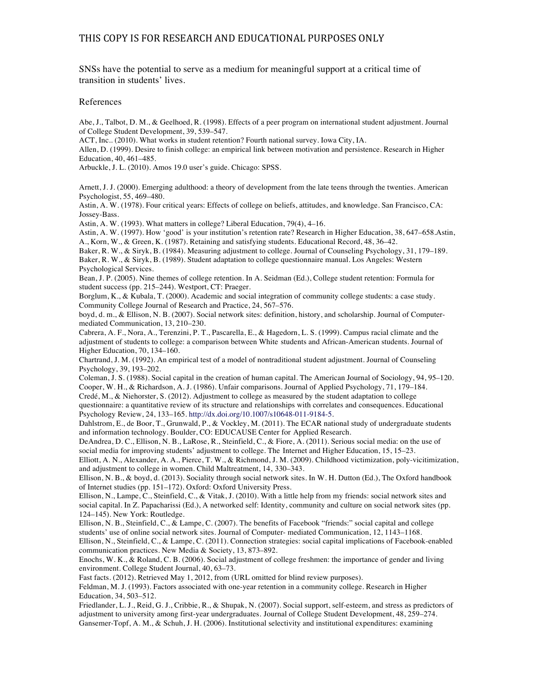SNSs have the potential to serve as a medium for meaningful support at a critical time of transition in students' lives.

#### References

Abe, J., Talbot, D. M., & Geelhoed, R. (1998). Effects of a peer program on international student adjustment. Journal of College Student Development, 39, 539–547.

ACT, Inc.. (2010). What works in student retention? Fourth national survey. Iowa City, IA.

Allen, D. (1999). Desire to finish college: an empirical link between motivation and persistence. Research in Higher Education, 40, 461–485.

Arbuckle, J. L. (2010). Amos 19.0 user's guide. Chicago: SPSS.

Arnett, J. J. (2000). Emerging adulthood: a theory of development from the late teens through the twenties. American Psychologist, 55, 469–480.

Astin, A. W. (1978). Four critical years: Effects of college on beliefs, attitudes, and knowledge. San Francisco, CA: Jossey-Bass.

Astin, A. W. (1993). What matters in college? Liberal Education, 79(4), 4–16.

Astin, A. W. (1997). How 'good' is your institution's retention rate? Research in Higher Education, 38, 647–658.Astin, A., Korn, W., & Green, K. (1987). Retaining and satisfying students. Educational Record, 48, 36–42.

Baker, R. W., & Siryk, B. (1984). Measuring adjustment to college. Journal of Counseling Psychology, 31, 179–189. Baker, R. W., & Siryk, B. (1989). Student adaptation to college questionnaire manual. Los Angeles: Western Psychological Services.

Bean, J. P. (2005). Nine themes of college retention. In A. Seidman (Ed.), College student retention: Formula for student success (pp. 215–244). Westport, CT: Praeger.

Borglum, K., & Kubala, T. (2000). Academic and social integration of community college students: a case study. Community College Journal of Research and Practice, 24, 567–576.

boyd, d. m., & Ellison, N. B. (2007). Social network sites: definition, history, and scholarship. Journal of Computermediated Communication, 13, 210–230.

Cabrera, A. F., Nora, A., Terenzini, P. T., Pascarella, E., & Hagedorn, L. S. (1999). Campus racial climate and the adjustment of students to college: a comparison between White students and African-American students. Journal of Higher Education, 70, 134–160.

Chartrand, J. M. (1992). An empirical test of a model of nontraditional student adjustment. Journal of Counseling Psychology, 39, 193–202.

Coleman, J. S. (1988). Social capital in the creation of human capital. The American Journal of Sociology, 94, 95–120. Cooper, W. H., & Richardson, A. J. (1986). Unfair comparisons. Journal of Applied Psychology, 71, 179–184.

Credé, M., & Niehorster, S. (2012). Adjustment to college as measured by the student adaptation to college questionnaire: a quantitative review of its structure and relationships with correlates and consequences. Educational Psychology Review, 24, 133–165. http://dx.doi.org/10.1007/s10648-011-9184-5.

Dahlstrom, E., de Boor, T., Grunwald, P., & Vockley, M. (2011). The ECAR national study of undergraduate students and information technology. Boulder, CO: EDUCAUSE Center for Applied Research.

DeAndrea, D. C., Ellison, N. B., LaRose, R., Steinfield, C., & Fiore, A. (2011). Serious social media: on the use of social media for improving students' adjustment to college. The Internet and Higher Education, 15, 15–23.

Elliott, A. N., Alexander, A. A., Pierce, T. W., & Richmond, J. M. (2009). Childhood victimization, poly-vicitimization, and adjustment to college in women. Child Maltreatment, 14, 330–343.

Ellison, N. B., & boyd, d. (2013). Sociality through social network sites. In W. H. Dutton (Ed.), The Oxford handbook of Internet studies (pp. 151–172). Oxford: Oxford University Press.

Ellison, N., Lampe, C., Steinfield, C., & Vitak, J. (2010). With a little help from my friends: social network sites and social capital. In Z. Papacharissi (Ed.), A networked self: Identity, community and culture on social network sites (pp. 124–145). New York: Routledge.

Ellison, N. B., Steinfield, C., & Lampe, C. (2007). The benefits of Facebook "friends:" social capital and college students' use of online social network sites. Journal of Computer- mediated Communication, 12, 1143–1168. Ellison, N., Steinfield, C., & Lampe, C. (2011). Connection strategies: social capital implications of Facebook-enabled communication practices. New Media & Society, 13, 873–892.

Enochs, W. K., & Roland, C. B. (2006). Social adjustment of college freshmen: the importance of gender and living environment. College Student Journal, 40, 63–73.

Fast facts. (2012). Retrieved May 1, 2012, from (URL omitted for blind review purposes).

Feldman, M. J. (1993). Factors associated with one-year retention in a community college. Research in Higher Education, 34, 503–512.

Friedlander, L. J., Reid, G. J., Cribbie, R., & Shupak, N. (2007). Social support, self-esteem, and stress as predictors of adjustment to university among first-year undergraduates. Journal of College Student Development, 48, 259–274. Gansemer-Topf, A. M., & Schuh, J. H. (2006). Institutional selectivity and institutional expenditures: examining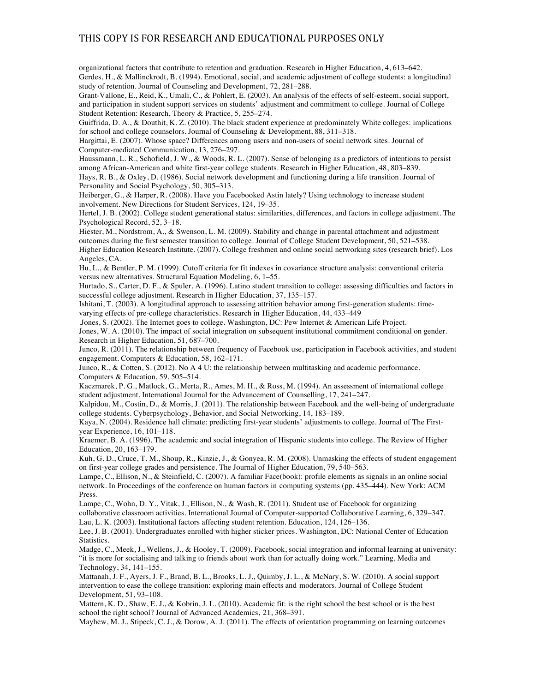organizational factors that contribute to retention and graduation. Research in Higher Education, 4, 613–642. Gerdes, H., & Mallinckrodt, B. (1994). Emotional, social, and academic adjustment of college students: a longitudinal study of retention. Journal of Counseling and Development, 72, 281–288.

Grant-Vallone, E., Reid, K., Umali, C., & Pohlert, E. (2003). An analysis of the effects of self-esteem, social support, and participation in student support services on students' adjustment and commitment to college. Journal of College Student Retention: Research, Theory & Practice, 5, 255–274.

Guiffrida, D. A., & Douthit, K. Z. (2010). The black student experience at predominately White colleges: implications for school and college counselors. Journal of Counseling & Development, 88, 311–318.

Hargittai, E. (2007). Whose space? Differences among users and non-users of social network sites. Journal of Computer-mediated Communication, 13, 276–297.

Haussmann, L. R., Schofield, J. W., & Woods, R. L. (2007). Sense of belonging as a predictors of intentions to persist among African-American and white first-year college students. Research in Higher Education, 48, 803–839.

Hays, R. B., & Oxley, D. (1986). Social network development and functioning during a life transition. Journal of Personality and Social Psychology, 50, 305–313.

Heiberger, G., & Harper, R. (2008). Have you Facebooked Astin lately? Using technology to increase student involvement. New Directions for Student Services, 124, 19–35.

Hertel, J. B. (2002). College student generational status: similarities, differences, and factors in college adjustment. The Psychological Record, 52, 3–18.

Hiester, M., Nordstrom, A., & Swenson, L. M. (2009). Stability and change in parental attachment and adjustment outcomes during the first semester transition to college. Journal of College Student Development, 50, 521–538.

Higher Education Research Institute. (2007). College freshmen and online social networking sites (research brief). Los Angeles, CA.

Hu, L., & Bentler, P. M. (1999). Cutoff criteria for fit indexes in covariance structure analysis: conventional criteria versus new alternatives. Structural Equation Modeling, 6, 1–55.

Hurtado, S., Carter, D. F., & Spuler, A. (1996). Latino student transition to college: assessing difficulties and factors in successful college adjustment. Research in Higher Education, 37, 135–157.

Ishitani, T. (2003). A longitudinal approach to assessing attrition behavior among first-generation students: timevarying effects of pre-college characteristics. Research in Higher Education, 44, 433–449

.Jones, S. (2002). The Internet goes to college. Washington, DC: Pew Internet & American Life Project.

Jones, W. A. (2010). The impact of social integration on subsequent institutional commitment conditional on gender. Research in Higher Education, 51, 687–700.

Junco, R. (2011). The relationship between frequency of Facebook use, participation in Facebook activities, and student engagement. Computers & Education, 58, 162–171.

Junco, R., & Cotten, S. (2012). No A 4 U: the relationship between multitasking and academic performance. Computers & Education, 59, 505–514.

Kaczmarek, P. G., Matlock, G., Merta, R., Ames, M. H., & Ross, M. (1994). An assessment of international college student adjustment. International Journal for the Advancement of Counselling, 17, 241–247.

Kalpidou, M., Costin, D., & Morris, J. (2011). The relationship between Facebook and the well-being of undergraduate college students. Cyberpsychology, Behavior, and Social Networking, 14, 183–189.

Kaya, N. (2004). Residence hall climate: predicting first-year students' adjustments to college. Journal of The Firstyear Experience, 16, 101–118.

Kraemer, B. A. (1996). The academic and social integration of Hispanic students into college. The Review of Higher Education, 20, 163–179.

Kuh, G. D., Cruce, T. M., Shoup, R., Kinzie, J., & Gonyea, R. M. (2008). Unmasking the effects of student engagement on first-year college grades and persistence. The Journal of Higher Education, 79, 540–563.

Lampe, C., Ellison, N., & Steinfield, C. (2007). A familiar Face(book): profile elements as signals in an online social network. In Proceedings of the conference on human factors in computing systems (pp. 435–444). New York: ACM Press.

Lampe, C., Wohn, D. Y., Vitak, J., Ellison, N., & Wash, R. (2011). Student use of Facebook for organizing collaborative classroom activities. International Journal of Computer-supported Collaborative Learning, 6, 329–347.

Lau, L. K. (2003). Institutional factors affecting student retention. Education, 124, 126–136.

Lee, J. B. (2001). Undergraduates enrolled with higher sticker prices. Washington, DC: National Center of Education Statistics.

Madge, C., Meek, J., Wellens, J., & Hooley, T. (2009). Facebook, social integration and informal learning at university: "it is more for socialising and talking to friends about work than for actually doing work." Learning, Media and Technology, 34, 141–155.

Mattanah, J. F., Ayers, J. F., Brand, B. L., Brooks, L. J., Quimby, J. L., & McNary, S. W. (2010). A social support intervention to ease the college transition: exploring main effects and moderators. Journal of College Student Development, 51, 93–108.

Mattern, K. D., Shaw, E. J., & Kobrin, J. L. (2010). Academic fit: is the right school the best school or is the best school the right school? Journal of Advanced Academics, 21, 368–391.

Mayhew, M. J., Stipeck, C. J., & Dorow, A. J. (2011). The effects of orientation programming on learning outcomes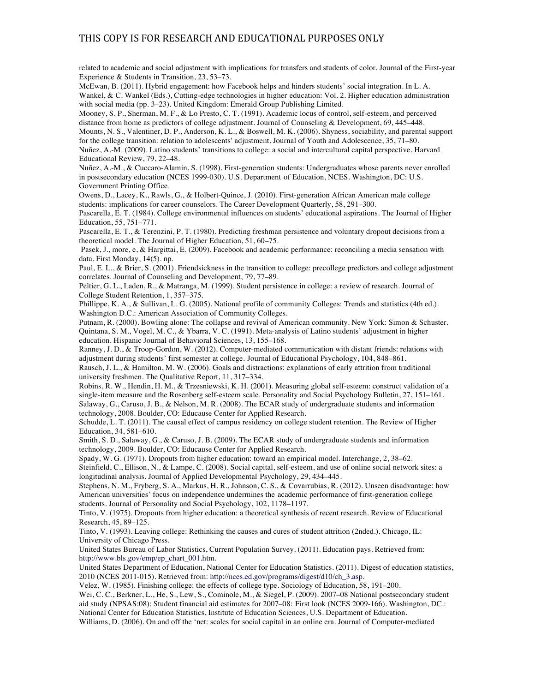related to academic and social adjustment with implications for transfers and students of color. Journal of the First-year Experience & Students in Transition, 23, 53–73.

McEwan, B. (2011). Hybrid engagement: how Facebook helps and hinders students' social integration. In L. A. Wankel, & C. Wankel (Eds.), Cutting-edge technologies in higher education: Vol. 2. Higher education administration with social media (pp. 3–23). United Kingdom: Emerald Group Publishing Limited.

Mooney, S. P., Sherman, M. F., & Lo Presto, C. T. (1991). Academic locus of control, self-esteem, and perceived distance from home as predictors of college adjustment. Journal of Counseling & Development, 69, 445–448.

Mounts, N. S., Valentiner, D. P., Anderson, K. L., & Boswell, M. K. (2006). Shyness, sociability, and parental support for the college transition: relation to adolescents' adjustment. Journal of Youth and Adolescence, 35, 71–80.

Nuñez, A.-M. (2009). Latino students' transitions to college: a social and intercultural capital perspective. Harvard Educational Review, 79, 22–48.

Nuñez, A.-M., & Cuccaro-Alamin, S. (1998). First-generation students: Undergraduates whose parents never enrolled in postsecondary education (NCES 1999-030). U.S. Department of Education, NCES. Washington, DC: U.S. Government Printing Office.

Owens, D., Lacey, K., Rawls, G., & Holbert-Quince, J. (2010). First-generation African American male college students: implications for career counselors. The Career Development Quarterly, 58, 291–300.

Pascarella, E. T. (1984). College environmental influences on students' educational aspirations. The Journal of Higher Education, 55, 751–771.

Pascarella, E. T., & Terenzini, P. T. (1980). Predicting freshman persistence and voluntary dropout decisions from a theoretical model. The Journal of Higher Education, 51, 60–75.

Pasek, J., more, e, & Hargittai, E. (2009). Facebook and academic performance: reconciling a media sensation with data. First Monday, 14(5). np.

Paul, E. L., & Brier, S. (2001). Friendsickness in the transition to college: precollege predictors and college adjustment correlates. Journal of Counseling and Development, 79, 77–89.

Peltier, G. L., Laden, R., & Matranga, M. (1999). Student persistence in college: a review of research. Journal of College Student Retention, 1, 357–375.

Phillippe, K. A., & Sullivan, L. G. (2005). National profile of community Colleges: Trends and statistics (4th ed.). Washington D.C.: American Association of Community Colleges.

Putnam, R. (2000). Bowling alone: The collapse and revival of American community. New York: Simon & Schuster. Quintana, S. M., Vogel, M. C., & Ybarra, V. C. (1991). Meta-analysis of Latino students' adjustment in higher education. Hispanic Journal of Behavioral Sciences, 13, 155–168.

Ranney, J. D., & Troop-Gordon, W. (2012). Computer-mediated communication with distant friends: relations with adjustment during students' first semester at college. Journal of Educational Psychology, 104, 848–861.

Rausch, J. L., & Hamilton, M. W. (2006). Goals and distractions: explanations of early attrition from traditional university freshmen. The Qualitative Report, 11, 317–334.

Robins, R. W., Hendin, H. M., & Trzesniewski, K. H. (2001). Measuring global self-esteem: construct validation of a single-item measure and the Rosenberg self-esteem scale. Personality and Social Psychology Bulletin, 27, 151–161. Salaway, G., Caruso, J. B., & Nelson, M. R. (2008). The ECAR study of undergraduate students and information technology, 2008. Boulder, CO: Educause Center for Applied Research.

Schudde, L. T. (2011). The causal effect of campus residency on college student retention. The Review of Higher Education, 34, 581–610.

Smith, S. D., Salaway, G., & Caruso, J. B. (2009). The ECAR study of undergraduate students and information technology, 2009. Boulder, CO: Educause Center for Applied Research.

Spady, W. G. (1971). Dropouts from higher education: toward an empirical model. Interchange, 2, 38–62.

Steinfield, C., Ellison, N., & Lampe, C. (2008). Social capital, self-esteem, and use of online social network sites: a longitudinal analysis. Journal of Applied Developmental Psychology, 29, 434–445.

Stephens, N. M., Fryberg, S. A., Markus, H. R., Johnson, C. S., & Covarrubias, R. (2012). Unseen disadvantage: how American universities' focus on independence undermines the academic performance of first-generation college students. Journal of Personality and Social Psychology, 102, 1178–1197.

Tinto, V. (1975). Dropouts from higher education: a theoretical synthesis of recent research. Review of Educational Research, 45, 89–125.

Tinto, V. (1993). Leaving college: Rethinking the causes and cures of student attrition (2nded.). Chicago, IL: University of Chicago Press.

United States Bureau of Labor Statistics, Current Population Survey. (2011). Education pays. Retrieved from: http://www.bls.gov/emp/ep\_chart\_001.htm.

United States Department of Education, National Center for Education Statistics. (2011). Digest of education statistics, 2010 (NCES 2011-015). Retrieved from: http://nces.ed.gov/programs/digest/d10/ch\_3.asp.

Velez, W. (1985). Finishing college: the effects of college type. Sociology of Education, 58, 191–200.

Wei, C. C., Berkner, L., He, S., Lew, S., Cominole, M., & Siegel, P. (2009). 2007–08 National postsecondary student aid study (NPSAS:08): Student financial aid estimates for 2007–08: First look (NCES 2009-166). Washington, DC.: National Center for Education Statistics, Institute of Education Sciences, U.S. Department of Education.

Williams, D. (2006). On and off the 'net: scales for social capital in an online era. Journal of Computer-mediated